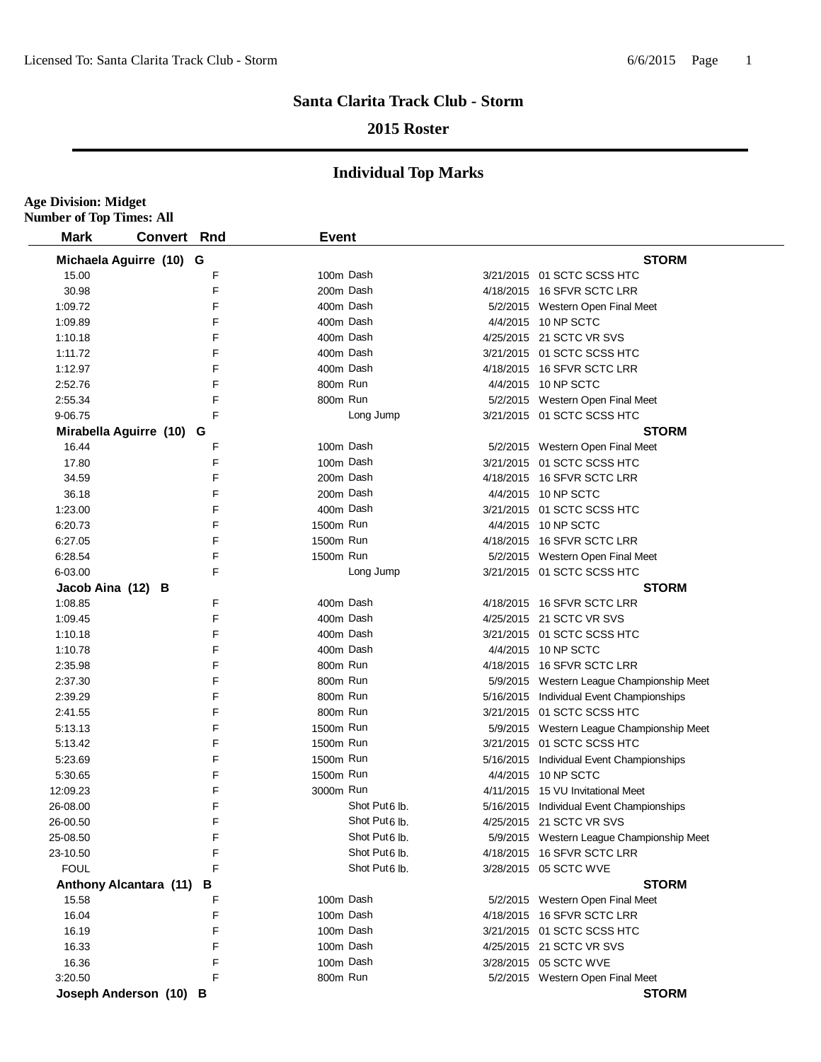#### **2015 Roster**

| <b>Number of Top Times: All</b> |                |     |              |                           |                                           |
|---------------------------------|----------------|-----|--------------|---------------------------|-------------------------------------------|
| <b>Mark</b>                     | <b>Convert</b> | Rnd | <b>Event</b> |                           |                                           |
| Michaela Aguirre (10) G         |                |     |              |                           | <b>STORM</b>                              |
| 15.00                           |                | F   | 100m Dash    |                           | 3/21/2015 01 SCTC SCSS HTC                |
| 30.98                           |                | F   | 200m Dash    |                           | 4/18/2015 16 SFVR SCTC LRR                |
| 1:09.72                         |                | F   | 400m Dash    |                           | 5/2/2015 Western Open Final Meet          |
| 1:09.89                         |                | F   | 400m Dash    |                           | 4/4/2015 10 NP SCTC                       |
| 1:10.18                         |                | F   | 400m Dash    |                           | 4/25/2015 21 SCTC VR SVS                  |
| 1:11.72                         |                | F   | 400m Dash    |                           | 3/21/2015 01 SCTC SCSS HTC                |
| 1:12.97                         |                | F   | 400m Dash    |                           | 4/18/2015 16 SFVR SCTC LRR                |
| 2:52.76                         |                | F   | 800m Run     |                           | 4/4/2015 10 NP SCTC                       |
| 2:55.34                         |                | F   | 800m Run     |                           | 5/2/2015 Western Open Final Meet          |
| 9-06.75                         |                | F   |              | Long Jump                 | 3/21/2015 01 SCTC SCSS HTC                |
| Mirabella Aguirre (10) G        |                |     |              |                           | <b>STORM</b>                              |
| 16.44                           |                | F   | 100m Dash    |                           | 5/2/2015 Western Open Final Meet          |
| 17.80                           |                | F   | 100m Dash    |                           | 3/21/2015 01 SCTC SCSS HTC                |
| 34.59                           |                | F   | 200m Dash    |                           | 4/18/2015 16 SFVR SCTC LRR                |
| 36.18                           |                | F   | 200m Dash    |                           | 4/4/2015 10 NP SCTC                       |
| 1:23.00                         |                | F   | 400m Dash    |                           | 3/21/2015 01 SCTC SCSS HTC                |
| 6:20.73                         |                | F   | 1500m Run    |                           | 4/4/2015 10 NP SCTC                       |
| 6:27.05                         |                | F   | 1500m Run    |                           | 4/18/2015 16 SFVR SCTC LRR                |
| 6:28.54                         |                | F   | 1500m Run    |                           | 5/2/2015 Western Open Final Meet          |
|                                 |                | F   |              | Long Jump                 |                                           |
| 6-03.00                         |                |     |              |                           | 3/21/2015 01 SCTC SCSS HTC                |
| Jacob Aina (12) B               |                |     | 400m Dash    |                           | <b>STORM</b>                              |
| 1:08.85                         |                | F   |              |                           | 4/18/2015 16 SFVR SCTC LRR                |
| 1:09.45                         |                | F   | 400m Dash    |                           | 4/25/2015 21 SCTC VR SVS                  |
| 1:10.18                         |                | F   | 400m Dash    |                           | 3/21/2015 01 SCTC SCSS HTC                |
| 1:10.78                         |                | F   | 400m Dash    |                           | 4/4/2015 10 NP SCTC                       |
| 2:35.98                         |                | F   | 800m Run     |                           | 4/18/2015 16 SFVR SCTC LRR                |
| 2:37.30                         |                | F   | 800m Run     |                           | 5/9/2015 Western League Championship Meet |
| 2:39.29                         |                | F   | 800m Run     |                           | 5/16/2015 Individual Event Championships  |
| 2:41.55                         |                | F   | 800m Run     |                           | 3/21/2015 01 SCTC SCSS HTC                |
| 5:13.13                         |                | F   | 1500m Run    |                           | 5/9/2015 Western League Championship Meet |
| 5:13.42                         |                | F   | 1500m Run    |                           | 3/21/2015 01 SCTC SCSS HTC                |
| 5:23.69                         |                | F   | 1500m Run    |                           | 5/16/2015 Individual Event Championships  |
| 5:30.65                         |                | F   | 1500m Run    |                           | 4/4/2015 10 NP SCTC                       |
| 12:09.23                        |                | F   | 3000m Run    |                           | 4/11/2015 15 VU Invitational Meet         |
| 26-08.00                        |                | F   |              | Shot Put6 lb.             | 5/16/2015 Individual Event Championships  |
| 26-00.50                        |                | F   |              | Shot Put6 lb.             | 4/25/2015 21 SCTC VR SVS                  |
| 25-08.50                        |                | F   |              | Shot Put <sub>6</sub> lb. | 5/9/2015 Western League Championship Meet |
| 23-10.50                        |                | F   |              | Shot Put6 lb.             | 4/18/2015 16 SFVR SCTC LRR                |
| <b>FOUL</b>                     |                | E   |              | Shot Put <sub>6</sub> lb. | 3/28/2015 05 SCTC WVE                     |
| Anthony Alcantara (11) B        |                |     |              |                           | <b>STORM</b>                              |
| 15.58                           |                | F   | 100m Dash    |                           | 5/2/2015 Western Open Final Meet          |
| 16.04                           |                | F   |              | 100m Dash                 | 4/18/2015 16 SFVR SCTC LRR                |
| 16.19                           |                | F   |              | 100m Dash                 | 3/21/2015 01 SCTC SCSS HTC                |
| 16.33                           |                | F   | 100m Dash    |                           | 4/25/2015 21 SCTC VR SVS                  |
| 16.36                           |                | F   | 100m Dash    |                           | 3/28/2015 05 SCTC WVE                     |
| 3:20.50                         |                | F   | 800m Run     |                           | 5/2/2015 Western Open Final Meet          |
| Joseph Anderson (10) B          |                |     |              |                           | <b>STORM</b>                              |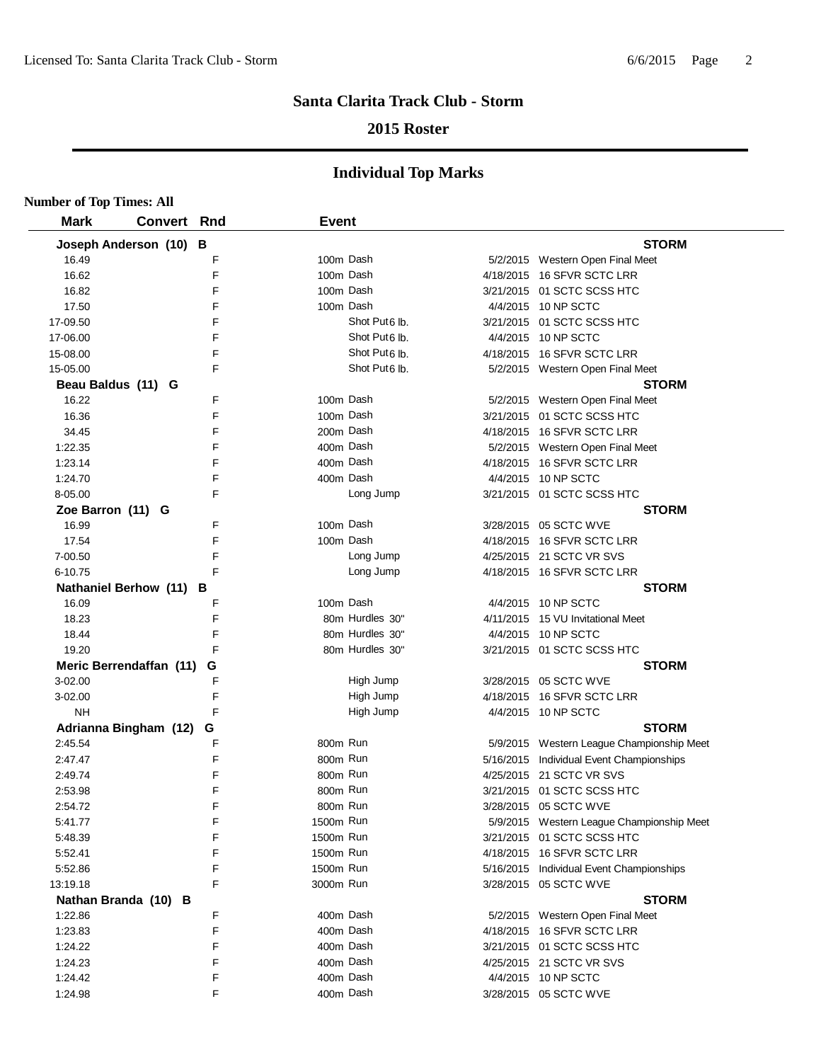## **2015 Roster**

| <b>Number of Top Times: All</b> |                         |     |              |                           |                                           |
|---------------------------------|-------------------------|-----|--------------|---------------------------|-------------------------------------------|
| <b>Mark</b>                     | <b>Convert</b>          | Rnd | <b>Event</b> |                           |                                           |
|                                 | Joseph Anderson (10) B  |     |              |                           | <b>STORM</b>                              |
| 16.49                           |                         | F   | 100m Dash    |                           | 5/2/2015 Western Open Final Meet          |
| 16.62                           |                         | F   |              | 100m Dash                 | 4/18/2015 16 SFVR SCTC LRR                |
| 16.82                           |                         | F   |              | 100m Dash                 | 3/21/2015 01 SCTC SCSS HTC                |
| 17.50                           |                         | F   |              | 100m Dash                 | 4/4/2015 10 NP SCTC                       |
| 17-09.50                        |                         | F   |              | Shot Put <sub>6</sub> lb. | 3/21/2015  01 SCTC SCSS HTC               |
| 17-06.00                        |                         | F   |              | Shot Put <sub>6</sub> lb. | 4/4/2015 10 NP SCTC                       |
| 15-08.00                        |                         | F   |              | Shot Put <sub>6</sub> lb. | 4/18/2015 16 SFVR SCTC LRR                |
| 15-05.00                        |                         | F   |              | Shot Put <sub>6</sub> lb. | 5/2/2015 Western Open Final Meet          |
| Beau Baldus (11) G              |                         |     |              |                           | <b>STORM</b>                              |
| 16.22                           |                         | F   | 100m Dash    |                           | 5/2/2015 Western Open Final Meet          |
| 16.36                           |                         | F   |              | 100m Dash                 | 3/21/2015 01 SCTC SCSS HTC                |
| 34.45                           |                         | F   |              | 200m Dash                 | 4/18/2015 16 SFVR SCTC LRR                |
| 1:22.35                         |                         | F   | 400m Dash    |                           | 5/2/2015 Western Open Final Meet          |
| 1:23.14                         |                         | F   |              | 400m Dash                 | 4/18/2015 16 SFVR SCTC LRR                |
| 1:24.70                         |                         | F   |              | 400m Dash                 | 4/4/2015 10 NP SCTC                       |
| 8-05.00                         |                         | F   |              | Long Jump                 | 3/21/2015 01 SCTC SCSS HTC                |
| Zoe Barron (11) G               |                         |     |              |                           | <b>STORM</b>                              |
| 16.99                           |                         | F   | 100m Dash    |                           | 3/28/2015 05 SCTC WVE                     |
| 17.54                           |                         | E   |              | 100m Dash                 | 4/18/2015 16 SFVR SCTC LRR                |
| 7-00.50                         |                         | F   |              | Long Jump                 | 4/25/2015 21 SCTC VR SVS                  |
| 6-10.75                         |                         | E   |              | Long Jump                 | 4/18/2015 16 SFVR SCTC LRR                |
|                                 | Nathaniel Berhow (11) B |     |              |                           | <b>STORM</b>                              |
| 16.09                           |                         | F   |              | 100m Dash                 | 4/4/2015 10 NP SCTC                       |
| 18.23                           |                         | F   |              | 80m Hurdles 30"           | 4/11/2015 15 VU Invitational Meet         |
| 18.44                           |                         | F   |              | 80m Hurdles 30"           | 4/4/2015 10 NP SCTC                       |
| 19.20                           |                         | F   |              | 80m Hurdles 30"           | 3/21/2015 01 SCTC SCSS HTC                |
|                                 | Meric Berrendaffan (11) | G   |              |                           | <b>STORM</b>                              |
| 3-02.00                         |                         | F   |              | High Jump                 | 3/28/2015 05 SCTC WVE                     |
| 3-02.00                         |                         | F   |              | High Jump                 | 4/18/2015 16 SFVR SCTC LRR                |
| NΗ                              |                         | F   |              | High Jump                 | 4/4/2015 10 NP SCTC                       |
|                                 | Adrianna Bingham (12)   | G   |              |                           | <b>STORM</b>                              |
| 2:45.54                         |                         | F   | 800m Run     |                           | 5/9/2015 Western League Championship Meet |
| 2:47.47                         |                         | F   | 800m Run     |                           | 5/16/2015 Individual Event Championships  |
| 2:49.74                         |                         | F   | 800m Run     |                           | 4/25/2015 21 SCTC VR SVS                  |
| 2:53.98                         |                         | F   | 800m Run     |                           | 3/21/2015 01 SCTC SCSS HTC                |
| 2:54.72                         |                         | F   | 800m Run     |                           | 3/28/2015  05 SCTC WVE                    |
| 5:41.77                         |                         | F   | 1500m Run    |                           | 5/9/2015 Western League Championship Meet |
| 5:48.39                         |                         | F   | 1500m Run    |                           | 3/21/2015 01 SCTC SCSS HTC                |
| 5:52.41                         |                         | F   | 1500m Run    |                           | 4/18/2015 16 SFVR SCTC LRR                |
| 5:52.86                         |                         | F   | 1500m Run    |                           | 5/16/2015 Individual Event Championships  |
| 13:19.18                        |                         | F   | 3000m Run    |                           | 3/28/2015 05 SCTC WVE                     |
|                                 | Nathan Branda (10) B    |     |              |                           | <b>STORM</b>                              |
| 1:22.86                         |                         | F   |              | 400m Dash                 | 5/2/2015 Western Open Final Meet          |
| 1:23.83                         |                         | F   | 400m Dash    |                           | 4/18/2015 16 SFVR SCTC LRR                |
| 1:24.22                         |                         | F   | 400m Dash    |                           | 3/21/2015 01 SCTC SCSS HTC                |
| 1:24.23                         |                         | F   |              | 400m Dash                 | 4/25/2015 21 SCTC VR SVS                  |
| 1:24.42                         |                         | F   |              | 400m Dash                 | 4/4/2015 10 NP SCTC                       |
| 1:24.98                         |                         | F   |              | 400m Dash                 | 3/28/2015 05 SCTC WVE                     |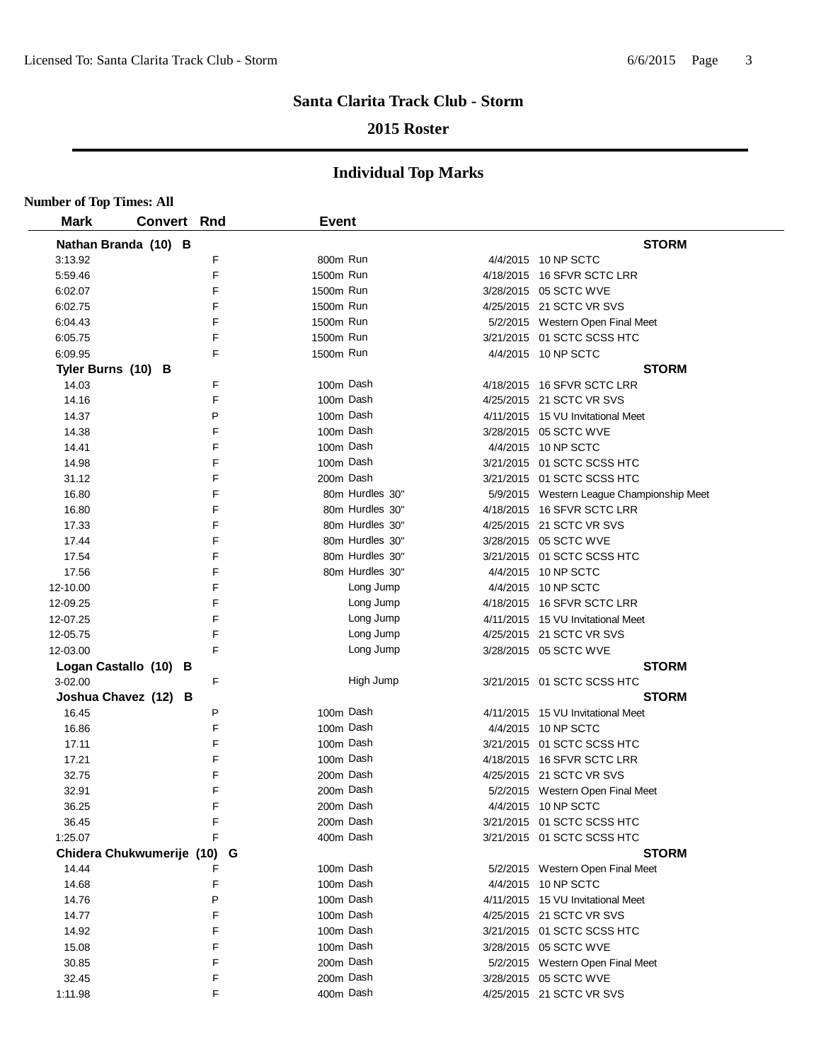## **2015 Roster**

| <b>Number of Top Times: All</b> |                             |   |              |                 |                                           |
|---------------------------------|-----------------------------|---|--------------|-----------------|-------------------------------------------|
| <b>Mark</b>                     | <b>Convert Rnd</b>          |   | <b>Event</b> |                 |                                           |
|                                 | Nathan Branda (10) B        |   |              |                 | <b>STORM</b>                              |
| 3:13.92                         |                             | F | 800m Run     |                 | 4/4/2015 10 NP SCTC                       |
| 5:59.46                         |                             | F | 1500m Run    |                 | 4/18/2015 16 SFVR SCTC LRR                |
| 6:02.07                         |                             | F | 1500m Run    |                 | 3/28/2015 05 SCTC WVE                     |
| 6:02.75                         |                             | F | 1500m Run    |                 | 4/25/2015 21 SCTC VR SVS                  |
| 6:04.43                         |                             | F | 1500m Run    |                 | 5/2/2015 Western Open Final Meet          |
| 6:05.75                         |                             | F | 1500m Run    |                 | 3/21/2015 01 SCTC SCSS HTC                |
| 6:09.95                         |                             | F | 1500m Run    |                 | 4/4/2015 10 NP SCTC                       |
| Tyler Burns (10) B              |                             |   |              |                 | <b>STORM</b>                              |
| 14.03                           |                             | F | 100m Dash    |                 | 4/18/2015 16 SFVR SCTC LRR                |
| 14.16                           |                             | F | 100m Dash    |                 | 4/25/2015 21 SCTC VR SVS                  |
| 14.37                           |                             | P | 100m Dash    |                 | 4/11/2015 15 VU Invitational Meet         |
| 14.38                           |                             | F | 100m Dash    |                 | 3/28/2015 05 SCTC WVE                     |
| 14.41                           |                             | F | 100m Dash    |                 | 4/4/2015 10 NP SCTC                       |
| 14.98                           |                             | F | 100m Dash    |                 | 3/21/2015 01 SCTC SCSS HTC                |
| 31.12                           |                             | F | 200m Dash    |                 | 3/21/2015 01 SCTC SCSS HTC                |
| 16.80                           |                             | F |              | 80m Hurdles 30" | 5/9/2015 Western League Championship Meet |
| 16.80                           |                             | F |              | 80m Hurdles 30" | 4/18/2015 16 SFVR SCTC LRR                |
| 17.33                           |                             | F |              | 80m Hurdles 30" | 4/25/2015 21 SCTC VR SVS                  |
| 17.44                           |                             | F |              | 80m Hurdles 30" | 3/28/2015 05 SCTC WVE                     |
| 17.54                           |                             | F |              | 80m Hurdles 30" | 3/21/2015 01 SCTC SCSS HTC                |
| 17.56                           |                             | F |              | 80m Hurdles 30" | 4/4/2015 10 NP SCTC                       |
| 12-10.00                        |                             | F |              | Long Jump       | 4/4/2015 10 NP SCTC                       |
| 12-09.25                        |                             | F |              | Long Jump       | 4/18/2015 16 SFVR SCTC LRR                |
| 12-07.25                        |                             | F |              | Long Jump       | 4/11/2015 15 VU Invitational Meet         |
| 12-05.75                        |                             | F |              | Long Jump       | 4/25/2015 21 SCTC VR SVS                  |
| 12-03.00                        |                             | F |              | Long Jump       | 3/28/2015 05 SCTC WVE                     |
|                                 | Logan Castallo (10) B       |   |              |                 | <b>STORM</b>                              |
| 3-02.00                         |                             | F |              | High Jump       | 3/21/2015 01 SCTC SCSS HTC                |
|                                 | Joshua Chavez (12) B        |   |              |                 | <b>STORM</b>                              |
| 16.45                           |                             | P | 100m Dash    |                 | 4/11/2015 15 VU Invitational Meet         |
| 16.86                           |                             | F | 100m Dash    |                 | 4/4/2015 10 NP SCTC                       |
| 17.11                           |                             | F | 100m Dash    |                 | 3/21/2015 01 SCTC SCSS HTC                |
| 17.21                           |                             | F | 100m Dash    |                 | 4/18/2015 16 SFVR SCTC LRR                |
| 32.75                           |                             | F | 200m Dash    |                 | 4/25/2015 21 SCTC VR SVS                  |
| 32.91                           |                             | F | 200m Dash    |                 | 5/2/2015 Western Open Final Meet          |
| 36.25                           |                             | F | 200m Dash    |                 | 4/4/2015 10 NP SCTC                       |
| 36.45                           |                             | F | 200m Dash    |                 | 3/21/2015 01 SCTC SCSS HTC                |
| 1:25.07                         |                             | F | 400m Dash    |                 | 3/21/2015 01 SCTC SCSS HTC                |
|                                 | Chidera Chukwumerije (10) G |   |              |                 | <b>STORM</b>                              |
| 14.44                           |                             | F | 100m Dash    |                 | 5/2/2015 Western Open Final Meet          |
| 14.68                           |                             | F | 100m Dash    |                 | 4/4/2015 10 NP SCTC                       |
| 14.76                           |                             | P | 100m Dash    |                 | 4/11/2015 15 VU Invitational Meet         |
| 14.77                           |                             | F | 100m Dash    |                 | 4/25/2015 21 SCTC VR SVS                  |
| 14.92                           |                             | F | 100m Dash    |                 | 3/21/2015 01 SCTC SCSS HTC                |
| 15.08                           |                             | F | 100m Dash    |                 | 3/28/2015 05 SCTC WVE                     |
| 30.85                           |                             | F | 200m Dash    |                 | 5/2/2015 Western Open Final Meet          |
| 32.45                           |                             | F | 200m Dash    |                 | 3/28/2015 05 SCTC WVE                     |
| 1:11.98                         |                             | F | 400m Dash    |                 | 4/25/2015 21 SCTC VR SVS                  |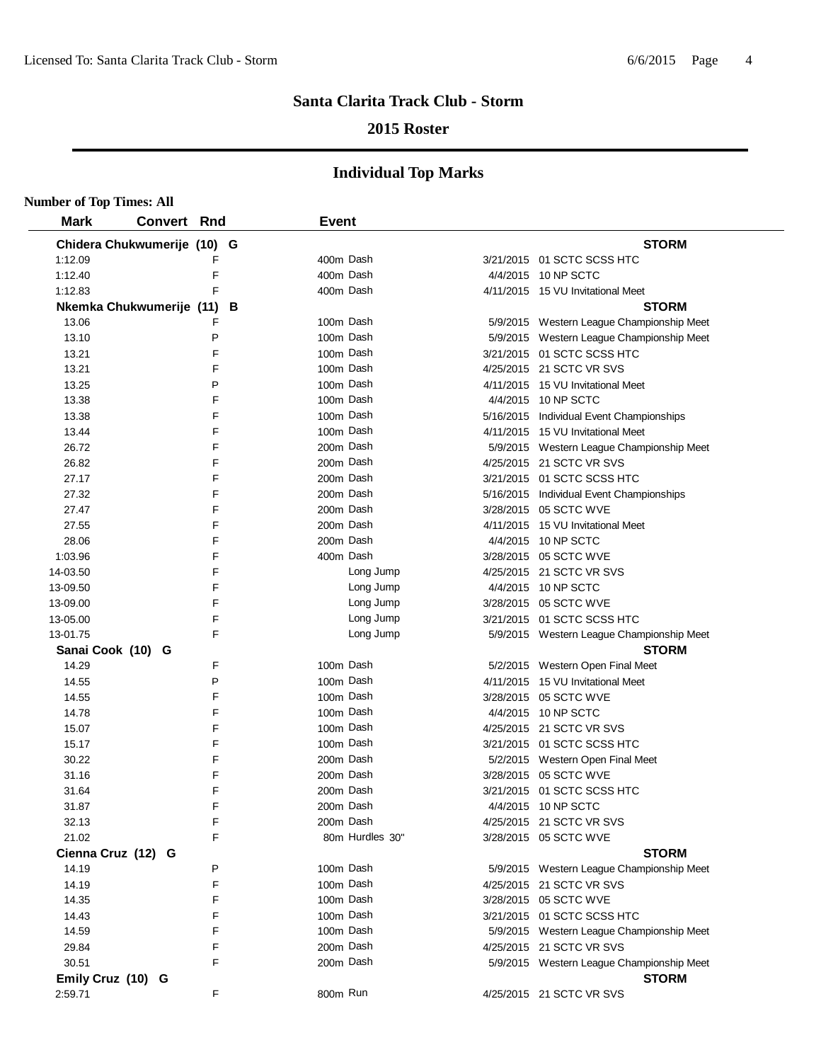## **2015 Roster**

| <b>Number of Top Times: All</b> |                             |   |   |              |                 |                                           |
|---------------------------------|-----------------------------|---|---|--------------|-----------------|-------------------------------------------|
| <b>Mark</b>                     | <b>Convert Rnd</b>          |   |   | <b>Event</b> |                 |                                           |
|                                 | Chidera Chukwumerije (10) G |   |   |              |                 | <b>STORM</b>                              |
| 1:12.09                         |                             | F |   | 400m Dash    |                 | 3/21/2015 01 SCTC SCSS HTC                |
| 1:12.40                         |                             | F |   | 400m Dash    |                 | 4/4/2015 10 NP SCTC                       |
| 1:12.83                         |                             | F |   | 400m Dash    |                 | 4/11/2015 15 VU Invitational Meet         |
|                                 | Nkemka Chukwumerije (11)    |   | В |              |                 | <b>STORM</b>                              |
| 13.06                           |                             | F |   | 100m Dash    |                 | 5/9/2015 Western League Championship Meet |
| 13.10                           |                             | P |   | 100m Dash    |                 | 5/9/2015 Western League Championship Meet |
| 13.21                           |                             | F |   | 100m Dash    |                 | 3/21/2015 01 SCTC SCSS HTC                |
| 13.21                           |                             | F |   | 100m Dash    |                 | 4/25/2015 21 SCTC VR SVS                  |
| 13.25                           |                             | P |   | 100m Dash    |                 | 4/11/2015 15 VU Invitational Meet         |
| 13.38                           |                             | F |   | 100m Dash    |                 | 4/4/2015 10 NP SCTC                       |
| 13.38                           |                             | F |   | 100m Dash    |                 | 5/16/2015 Individual Event Championships  |
| 13.44                           |                             | F |   | 100m Dash    |                 | 4/11/2015 15 VU Invitational Meet         |
| 26.72                           |                             | F |   | 200m Dash    |                 | 5/9/2015 Western League Championship Meet |
| 26.82                           |                             | F |   | 200m Dash    |                 | 4/25/2015 21 SCTC VR SVS                  |
| 27.17                           |                             | F |   | 200m Dash    |                 | 3/21/2015 01 SCTC SCSS HTC                |
| 27.32                           |                             | F |   | 200m Dash    |                 | 5/16/2015 Individual Event Championships  |
| 27.47                           |                             | F |   | 200m Dash    |                 | 3/28/2015 05 SCTC WVE                     |
| 27.55                           |                             | F |   | 200m Dash    |                 | 4/11/2015 15 VU Invitational Meet         |
| 28.06                           |                             | F |   | 200m Dash    |                 | 4/4/2015 10 NP SCTC                       |
| 1:03.96                         |                             | F |   | 400m Dash    |                 | 3/28/2015 05 SCTC WVE                     |
| 14-03.50                        |                             | F |   |              | Long Jump       | 4/25/2015 21 SCTC VR SVS                  |
| 13-09.50                        |                             | F |   |              | Long Jump       | 4/4/2015 10 NP SCTC                       |
| 13-09.00                        |                             | F |   |              | Long Jump       | 3/28/2015 05 SCTC WVE                     |
| 13-05.00                        |                             | F |   |              | Long Jump       | 3/21/2015 01 SCTC SCSS HTC                |
| 13-01.75                        |                             | F |   |              | Long Jump       | 5/9/2015 Western League Championship Meet |
| Sanai Cook (10) G               |                             |   |   |              |                 | <b>STORM</b>                              |
| 14.29                           |                             | F |   | 100m Dash    |                 | 5/2/2015 Western Open Final Meet          |
| 14.55                           |                             | P |   | 100m Dash    |                 | 4/11/2015 15 VU Invitational Meet         |
| 14.55                           |                             | F |   | 100m Dash    |                 | 3/28/2015 05 SCTC WVE                     |
| 14.78                           |                             | F |   | 100m Dash    |                 | 4/4/2015 10 NP SCTC                       |
| 15.07                           |                             | F |   | 100m Dash    |                 | 4/25/2015 21 SCTC VR SVS                  |
| 15.17                           |                             | F |   | 100m Dash    |                 | 3/21/2015 01 SCTC SCSS HTC                |
| 30.22                           |                             | F |   | 200m Dash    |                 | 5/2/2015 Western Open Final Meet          |
| 31.16                           |                             | F |   | 200m Dash    |                 | 3/28/2015 05 SCTC WVE                     |
| 31.64                           |                             | F |   | 200m Dash    |                 | 3/21/2015 01 SCTC SCSS HTC                |
| 31.87                           |                             | F |   | 200m Dash    |                 | 4/4/2015 10 NP SCTC                       |
| 32.13                           |                             | F |   | 200m Dash    |                 | 4/25/2015 21 SCTC VR SVS                  |
| 21.02                           |                             | F |   |              | 80m Hurdles 30" | 3/28/2015 05 SCTC WVE                     |
| Cienna Cruz (12) G              |                             |   |   |              |                 | <b>STORM</b>                              |
| 14.19                           |                             | Р |   | 100m Dash    |                 | 5/9/2015 Western League Championship Meet |
| 14.19                           |                             | F |   | 100m Dash    |                 | 4/25/2015 21 SCTC VR SVS                  |
| 14.35                           |                             | F |   | 100m Dash    |                 | 3/28/2015 05 SCTC WVE                     |
| 14.43                           |                             | F |   | 100m Dash    |                 | 3/21/2015 01 SCTC SCSS HTC                |
| 14.59                           |                             | F |   | 100m Dash    |                 | 5/9/2015 Western League Championship Meet |
| 29.84                           |                             | F |   | 200m Dash    |                 | 4/25/2015 21 SCTC VR SVS                  |
| 30.51                           |                             | F |   | 200m Dash    |                 | 5/9/2015 Western League Championship Meet |
| Emily Cruz (10) G               |                             |   |   |              |                 | <b>STORM</b>                              |
| 2:59.71                         |                             | F |   | 800m Run     |                 | 4/25/2015 21 SCTC VR SVS                  |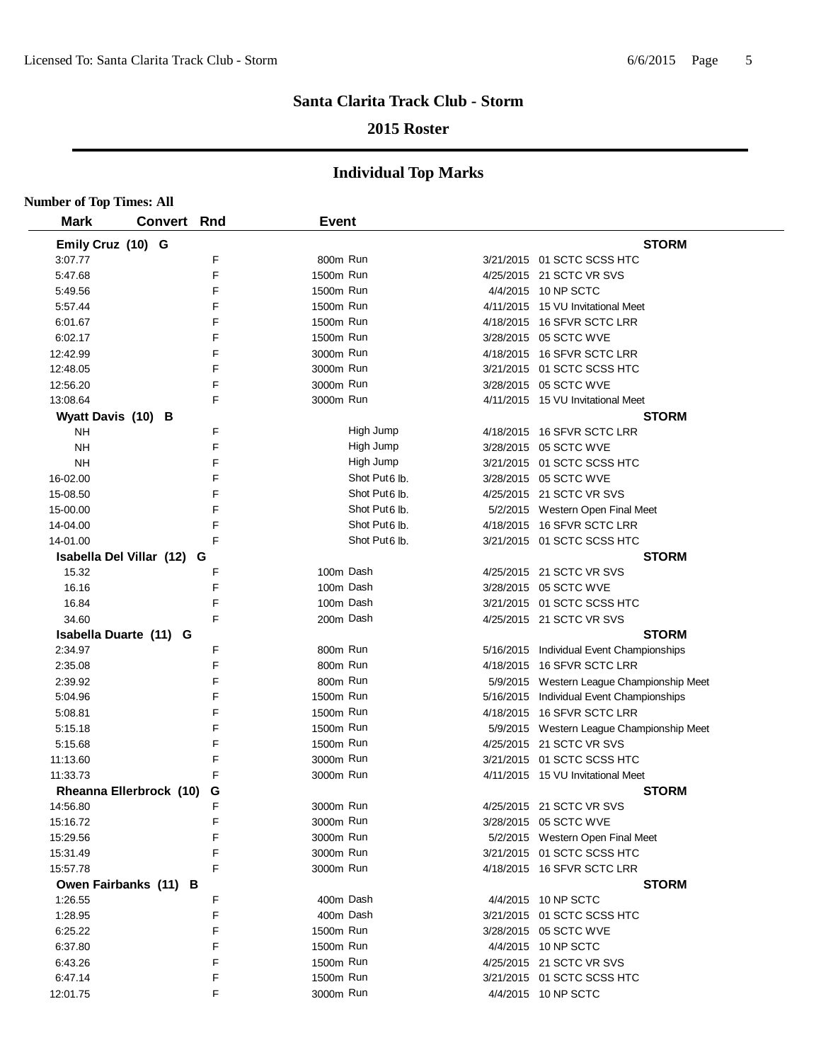## **2015 Roster**

| <b>Number of Top Times: All</b> |                |     |              |                           |                                           |
|---------------------------------|----------------|-----|--------------|---------------------------|-------------------------------------------|
| <b>Mark</b>                     | <b>Convert</b> | Rnd | <b>Event</b> |                           |                                           |
| Emily Cruz (10) G               |                |     |              |                           | <b>STORM</b>                              |
| 3:07.77                         |                | F   | 800m Run     |                           | 3/21/2015 01 SCTC SCSS HTC                |
| 5:47.68                         |                | F   | 1500m Run    |                           | 4/25/2015 21 SCTC VR SVS                  |
| 5:49.56                         |                | F   | 1500m Run    |                           | 4/4/2015 10 NP SCTC                       |
| 5:57.44                         |                | F   | 1500m Run    |                           | 4/11/2015 15 VU Invitational Meet         |
| 6:01.67                         |                | F   | 1500m Run    |                           | 4/18/2015 16 SFVR SCTC LRR                |
| 6:02.17                         |                | F   | 1500m Run    |                           | 3/28/2015 05 SCTC WVE                     |
| 12:42.99                        |                | F   | 3000m Run    |                           | 4/18/2015 16 SFVR SCTC LRR                |
| 12:48.05                        |                | F   | 3000m Run    |                           | 3/21/2015 01 SCTC SCSS HTC                |
| 12:56.20                        |                | F   | 3000m Run    |                           | 3/28/2015 05 SCTC WVE                     |
| 13:08.64                        |                | F   | 3000m Run    |                           | 4/11/2015 15 VU Invitational Meet         |
| Wyatt Davis (10) B              |                |     |              |                           | <b>STORM</b>                              |
| <b>NH</b>                       |                | F   |              | High Jump                 | 4/18/2015 16 SFVR SCTC LRR                |
| <b>NH</b>                       |                | F   |              | High Jump                 | 3/28/2015 05 SCTC WVE                     |
| <b>NH</b>                       |                | F   |              | High Jump                 | 3/21/2015 01 SCTC SCSS HTC                |
| 16-02.00                        |                | F   |              | Shot Put <sub>6</sub> lb. | 3/28/2015 05 SCTC WVE                     |
| 15-08.50                        |                | F   |              | Shot Put6 lb.             | 4/25/2015 21 SCTC VR SVS                  |
| 15-00.00                        |                | F   |              | Shot Put6 lb.             | 5/2/2015 Western Open Final Meet          |
| 14-04.00                        |                | F   |              | Shot Put <sub>6</sub> lb. | 4/18/2015 16 SFVR SCTC LRR                |
| 14-01.00                        |                | F   |              | Shot Put <sub>6</sub> lb. | 3/21/2015 01 SCTC SCSS HTC                |
| Isabella Del Villar (12) G      |                |     |              |                           | <b>STORM</b>                              |
| 15.32                           |                | F   | 100m Dash    |                           | 4/25/2015 21 SCTC VR SVS                  |
| 16.16                           |                | F   | 100m Dash    |                           | 3/28/2015 05 SCTC WVE                     |
| 16.84                           |                | F   | 100m Dash    |                           | 3/21/2015 01 SCTC SCSS HTC                |
| 34.60                           |                | F   | 200m Dash    |                           | 4/25/2015 21 SCTC VR SVS                  |
| Isabella Duarte (11) G          |                |     |              |                           | <b>STORM</b>                              |
| 2:34.97                         |                | F   | 800m Run     |                           | 5/16/2015 Individual Event Championships  |
| 2:35.08                         |                | E   | 800m Run     |                           | 4/18/2015 16 SFVR SCTC LRR                |
| 2:39.92                         |                | F   | 800m Run     |                           | 5/9/2015 Western League Championship Meet |
| 5:04.96                         |                | F   | 1500m Run    |                           | 5/16/2015 Individual Event Championships  |
| 5:08.81                         |                | F   | 1500m Run    |                           | 4/18/2015 16 SFVR SCTC LRR                |
| 5:15.18                         |                | F   | 1500m Run    |                           | 5/9/2015 Western League Championship Meet |
| 5:15.68                         |                | F   | 1500m Run    |                           | 4/25/2015 21 SCTC VR SVS                  |
| 11:13.60                        |                | F   | 3000m Run    |                           | 3/21/2015 01 SCTC SCSS HTC                |
| 11:33.73                        |                | F   | 3000m Run    |                           | 4/11/2015 15 VU Invitational Meet         |
| <b>Rheanna Ellerbrock (10)</b>  |                | G   |              |                           | <b>STORM</b>                              |
| 14:56.80                        |                | F   | 3000m Run    |                           | 4/25/2015 21 SCTC VR SVS                  |
| 15:16.72                        |                | F   | 3000m Run    |                           | 3/28/2015 05 SCTC WVE                     |
| 15:29.56                        |                | F   | 3000m Run    |                           | 5/2/2015 Western Open Final Meet          |
| 15:31.49                        |                | F   | 3000m Run    |                           | 3/21/2015 01 SCTC SCSS HTC                |
| 15:57.78                        |                | F   | 3000m Run    |                           | 4/18/2015 16 SFVR SCTC LRR                |
| Owen Fairbanks (11) B           |                |     |              |                           | <b>STORM</b>                              |
| 1:26.55                         |                | F   | 400m Dash    |                           | 4/4/2015 10 NP SCTC                       |
| 1:28.95                         |                | F   | 400m Dash    |                           | 3/21/2015 01 SCTC SCSS HTC                |
| 6:25.22                         |                | F   | 1500m Run    |                           | 3/28/2015 05 SCTC WVE                     |
| 6:37.80                         |                | F   | 1500m Run    |                           | 4/4/2015 10 NP SCTC                       |
| 6:43.26                         |                | F   | 1500m Run    |                           | 4/25/2015 21 SCTC VR SVS                  |
| 6:47.14                         |                | F   | 1500m Run    |                           | 3/21/2015 01 SCTC SCSS HTC                |
| 12:01.75                        |                | F   | 3000m Run    |                           | 4/4/2015 10 NP SCTC                       |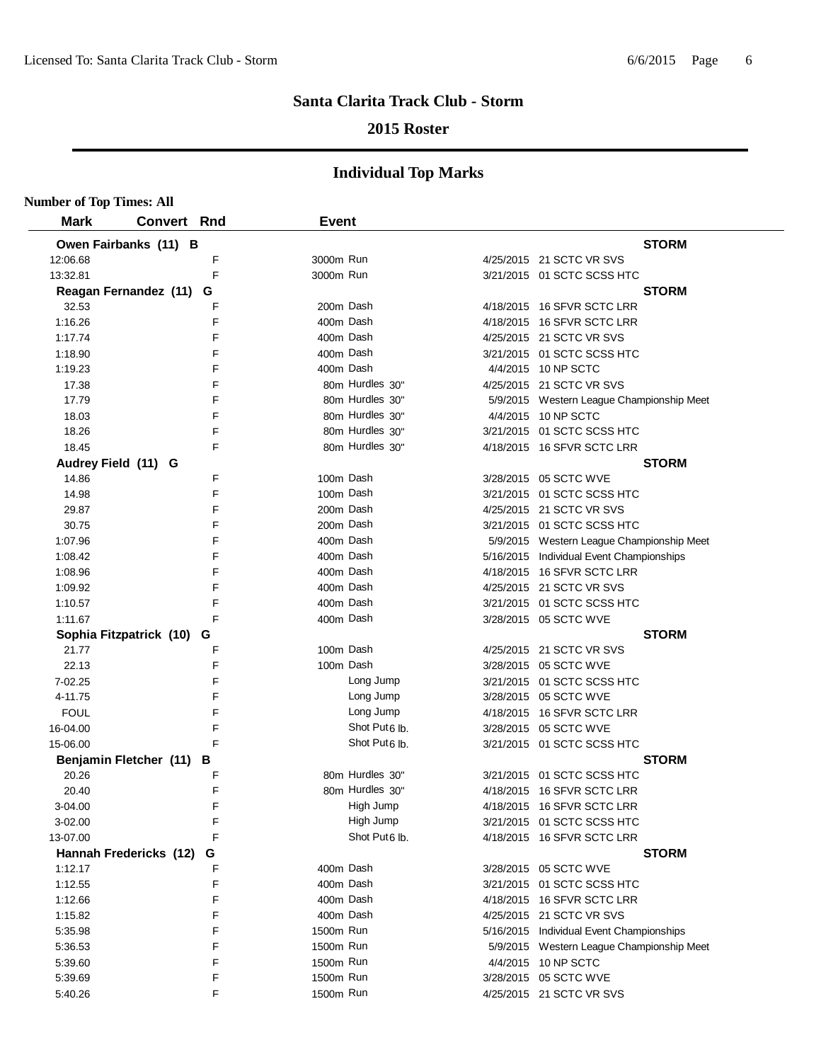## **2015 Roster**

| <b>Number of Top Times: All</b> |                          |   |              |                           |                                           |
|---------------------------------|--------------------------|---|--------------|---------------------------|-------------------------------------------|
| <b>Mark</b>                     | <b>Convert Rnd</b>       |   | <b>Event</b> |                           |                                           |
|                                 | Owen Fairbanks (11) B    |   |              |                           | <b>STORM</b>                              |
| 12:06.68                        |                          | F | 3000m Run    |                           | 4/25/2015 21 SCTC VR SVS                  |
| 13:32.81                        |                          | E | 3000m Run    |                           | 3/21/2015 01 SCTC SCSS HTC                |
|                                 | Reagan Fernandez (11) G  |   |              |                           | <b>STORM</b>                              |
| 32.53                           |                          | F |              | 200m Dash                 | 4/18/2015 16 SFVR SCTC LRR                |
| 1:16.26                         |                          | F | 400m Dash    |                           | 4/18/2015 16 SFVR SCTC LRR                |
| 1:17.74                         |                          | F | 400m Dash    |                           | 4/25/2015 21 SCTC VR SVS                  |
| 1:18.90                         |                          | F | 400m Dash    |                           | 3/21/2015 01 SCTC SCSS HTC                |
| 1:19.23                         |                          | F | 400m Dash    |                           | 4/4/2015 10 NP SCTC                       |
| 17.38                           |                          | F |              | 80m Hurdles 30"           | 4/25/2015 21 SCTC VR SVS                  |
| 17.79                           |                          | F |              | 80m Hurdles 30"           | 5/9/2015 Western League Championship Meet |
| 18.03                           |                          | F |              | 80m Hurdles 30"           | 4/4/2015 10 NP SCTC                       |
| 18.26                           |                          | F |              | 80m Hurdles 30"           | 3/21/2015 01 SCTC SCSS HTC                |
| 18.45                           |                          | F |              | 80m Hurdles 30"           | 4/18/2015 16 SFVR SCTC LRR                |
|                                 | Audrey Field (11) G      |   |              |                           | <b>STORM</b>                              |
| 14.86                           |                          | F |              | 100m Dash                 | 3/28/2015 05 SCTC WVE                     |
| 14.98                           |                          | F |              | 100m Dash                 | 3/21/2015 01 SCTC SCSS HTC                |
| 29.87                           |                          | F |              | 200m Dash                 | 4/25/2015 21 SCTC VR SVS                  |
| 30.75                           |                          | F | 200m Dash    |                           | 3/21/2015 01 SCTC SCSS HTC                |
| 1:07.96                         |                          | F | 400m Dash    |                           | 5/9/2015 Western League Championship Meet |
| 1:08.42                         |                          | F |              | 400m Dash                 | 5/16/2015 Individual Event Championships  |
| 1:08.96                         |                          | F |              | 400m Dash                 | 4/18/2015 16 SFVR SCTC LRR                |
| 1:09.92                         |                          | F | 400m Dash    |                           | 4/25/2015 21 SCTC VR SVS                  |
| 1:10.57                         |                          | F | 400m Dash    |                           | 3/21/2015 01 SCTC SCSS HTC                |
| 1:11.67                         |                          | F | 400m Dash    |                           | 3/28/2015 05 SCTC WVE                     |
|                                 | Sophia Fitzpatrick (10)  | G |              |                           | <b>STORM</b>                              |
| 21.77                           |                          | F | 100m Dash    |                           | 4/25/2015 21 SCTC VR SVS                  |
| 22.13                           |                          | F |              | 100m Dash                 | 3/28/2015 05 SCTC WVE                     |
| 7-02.25                         |                          | F |              | Long Jump                 | 3/21/2015 01 SCTC SCSS HTC                |
| 4-11.75                         |                          | F |              | Long Jump                 | 3/28/2015 05 SCTC WVE                     |
| <b>FOUL</b>                     |                          | F |              | Long Jump                 | 4/18/2015 16 SFVR SCTC LRR                |
| 16-04.00                        |                          | F |              | Shot Put <sub>6</sub> lb. | 3/28/2015 05 SCTC WVE                     |
| 15-06.00                        |                          | F |              | Shot Put <sub>6</sub> lb. | 3/21/2015 01 SCTC SCSS HTC                |
|                                 | Benjamin Fletcher (11) B |   |              |                           | <b>STORM</b>                              |
| 20.26                           |                          | F |              | 80m Hurdles 30"           | 3/21/2015 01 SCTC SCSS HTC                |
| 20.40                           |                          | F |              | 80m Hurdles 30"           | 4/18/2015 16 SFVR SCTC LRR                |
| 3-04.00                         |                          | F |              | High Jump                 | 4/18/2015 16 SFVR SCTC LRR                |
| 3-02.00                         |                          | F |              | High Jump                 | 3/21/2015 01 SCTC SCSS HTC                |
| 13-07.00                        |                          | F |              | Shot Put6 lb.             | 4/18/2015 16 SFVR SCTC LRR                |
|                                 | Hannah Fredericks (12)   | G |              |                           | <b>STORM</b>                              |
| 1:12.17                         |                          | F | 400m Dash    |                           | 3/28/2015 05 SCTC WVE                     |
| 1:12.55                         |                          | F | 400m Dash    |                           | 3/21/2015 01 SCTC SCSS HTC                |
| 1:12.66                         |                          | F |              | 400m Dash                 | 4/18/2015 16 SFVR SCTC LRR                |
| 1:15.82                         |                          | F | 400m Dash    |                           | 4/25/2015 21 SCTC VR SVS                  |
| 5:35.98                         |                          | F | 1500m Run    |                           | 5/16/2015 Individual Event Championships  |
| 5:36.53                         |                          | F | 1500m Run    |                           | 5/9/2015 Western League Championship Meet |
| 5:39.60                         |                          | F | 1500m Run    |                           | 4/4/2015 10 NP SCTC                       |
| 5:39.69                         |                          | F | 1500m Run    |                           | 3/28/2015 05 SCTC WVE                     |
| 5:40.26                         |                          | F | 1500m Run    |                           | 4/25/2015 21 SCTC VR SVS                  |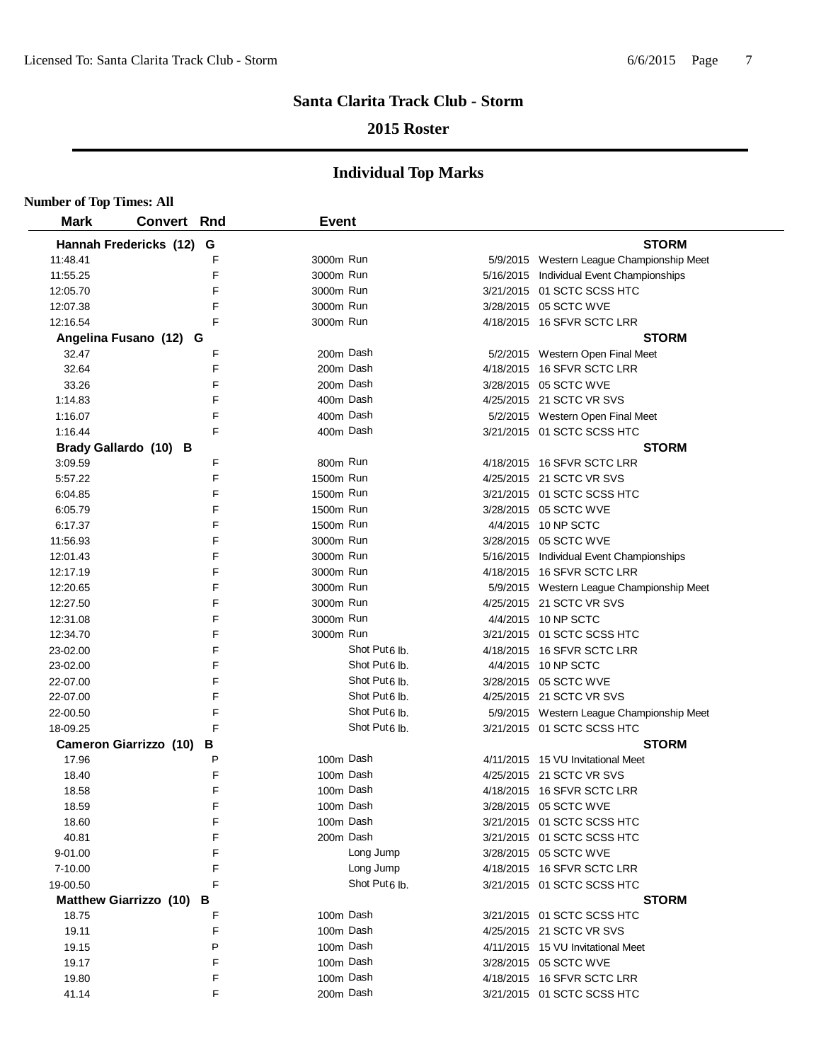## **2015 Roster**

| <b>Number of Top Times: All</b> |                               |   |              |                           |                                           |
|---------------------------------|-------------------------------|---|--------------|---------------------------|-------------------------------------------|
| <b>Mark</b>                     | <b>Convert Rnd</b>            |   | <b>Event</b> |                           |                                           |
|                                 | Hannah Fredericks (12)        | G |              |                           | <b>STORM</b>                              |
| 11:48.41                        |                               | F | 3000m Run    |                           | 5/9/2015 Western League Championship Meet |
| 11:55.25                        |                               | F | 3000m Run    |                           | 5/16/2015 Individual Event Championships  |
| 12:05.70                        |                               | F | 3000m Run    |                           | 3/21/2015 01 SCTC SCSS HTC                |
| 12:07.38                        |                               | F | 3000m Run    |                           | 3/28/2015 05 SCTC WVE                     |
| 12:16.54                        |                               | F | 3000m Run    |                           | 4/18/2015 16 SFVR SCTC LRR                |
|                                 | Angelina Fusano (12) G        |   |              |                           | <b>STORM</b>                              |
| 32.47                           |                               | F | 200m Dash    |                           | 5/2/2015 Western Open Final Meet          |
| 32.64                           |                               | F | 200m Dash    |                           | 4/18/2015 16 SFVR SCTC LRR                |
| 33.26                           |                               | F | 200m Dash    |                           | 3/28/2015 05 SCTC WVE                     |
| 1:14.83                         |                               | F | 400m Dash    |                           | 4/25/2015 21 SCTC VR SVS                  |
| 1:16.07                         |                               | F | 400m Dash    |                           | 5/2/2015 Western Open Final Meet          |
| 1:16.44                         |                               | F | 400m Dash    |                           | 3/21/2015 01 SCTC SCSS HTC                |
|                                 | Brady Gallardo (10) B         |   |              |                           | <b>STORM</b>                              |
| 3:09.59                         |                               | F | 800m Run     |                           | 4/18/2015 16 SFVR SCTC LRR                |
| 5:57.22                         |                               | F | 1500m Run    |                           | 4/25/2015 21 SCTC VR SVS                  |
| 6:04.85                         |                               | F | 1500m Run    |                           | 3/21/2015 01 SCTC SCSS HTC                |
| 6:05.79                         |                               | F | 1500m Run    |                           | 3/28/2015 05 SCTC WVE                     |
| 6:17.37                         |                               | F | 1500m Run    |                           | 4/4/2015 10 NP SCTC                       |
| 11:56.93                        |                               | F | 3000m Run    |                           | 3/28/2015 05 SCTC WVE                     |
| 12:01.43                        |                               | F | 3000m Run    |                           | 5/16/2015 Individual Event Championships  |
| 12:17.19                        |                               | F | 3000m Run    |                           | 4/18/2015 16 SFVR SCTC LRR                |
| 12:20.65                        |                               | F | 3000m Run    |                           | 5/9/2015 Western League Championship Meet |
| 12:27.50                        |                               | F | 3000m Run    |                           | 4/25/2015 21 SCTC VR SVS                  |
| 12:31.08                        |                               | F | 3000m Run    |                           | 4/4/2015 10 NP SCTC                       |
| 12:34.70                        |                               | F | 3000m Run    |                           | 3/21/2015 01 SCTC SCSS HTC                |
| 23-02.00                        |                               | F |              | Shot Put <sub>6</sub> lb. | 4/18/2015 16 SFVR SCTC LRR                |
| 23-02.00                        |                               | F |              | Shot Put6 lb.             | 4/4/2015 10 NP SCTC                       |
| 22-07.00                        |                               | F |              | Shot Put <sub>6</sub> lb. | 3/28/2015 05 SCTC WVE                     |
| 22-07.00                        |                               | F |              | Shot Put6 lb.             | 4/25/2015 21 SCTC VR SVS                  |
| 22-00.50                        |                               | F |              | Shot Put <sub>6</sub> lb. | 5/9/2015 Western League Championship Meet |
| 18-09.25                        |                               | F |              | Shot Put <sub>6</sub> lb. | 3/21/2015 01 SCTC SCSS HTC                |
|                                 | <b>Cameron Giarrizzo (10)</b> | В |              |                           | <b>STORM</b>                              |
| 17.96                           |                               | P | 100m Dash    |                           | 4/11/2015 15 VU Invitational Meet         |
| 18.40                           |                               | F | 100m Dash    |                           | 4/25/2015 21 SCTC VR SVS                  |
| 18.58                           |                               | F | 100m Dash    |                           | 4/18/2015 16 SFVR SCTC LRR                |
| 18.59                           |                               | F | 100m Dash    |                           | 3/28/2015 05 SCTC WVE                     |
| 18.60                           |                               | F | 100m Dash    |                           | 3/21/2015 01 SCTC SCSS HTC                |
| 40.81                           |                               | F | 200m Dash    |                           | 3/21/2015 01 SCTC SCSS HTC                |
| $9 - 01.00$                     |                               | F |              | Long Jump                 | 3/28/2015 05 SCTC WVE                     |
| 7-10.00                         |                               | F |              | Long Jump                 | 4/18/2015 16 SFVR SCTC LRR                |
| 19-00.50                        |                               | F |              | Shot Put <sub>6</sub> lb. | 3/21/2015 01 SCTC SCSS HTC                |
|                                 | <b>Matthew Giarrizzo (10)</b> | В |              |                           | <b>STORM</b>                              |
| 18.75                           |                               | F | 100m Dash    |                           | 3/21/2015 01 SCTC SCSS HTC                |
| 19.11                           |                               | F | 100m Dash    |                           | 4/25/2015 21 SCTC VR SVS                  |
| 19.15                           |                               | P | 100m Dash    |                           | 4/11/2015 15 VU Invitational Meet         |
| 19.17                           |                               | F | 100m Dash    |                           | 3/28/2015 05 SCTC WVE                     |
| 19.80                           |                               | F | 100m Dash    |                           | 4/18/2015 16 SFVR SCTC LRR                |
| 41.14                           |                               | F | 200m Dash    |                           | 3/21/2015 01 SCTC SCSS HTC                |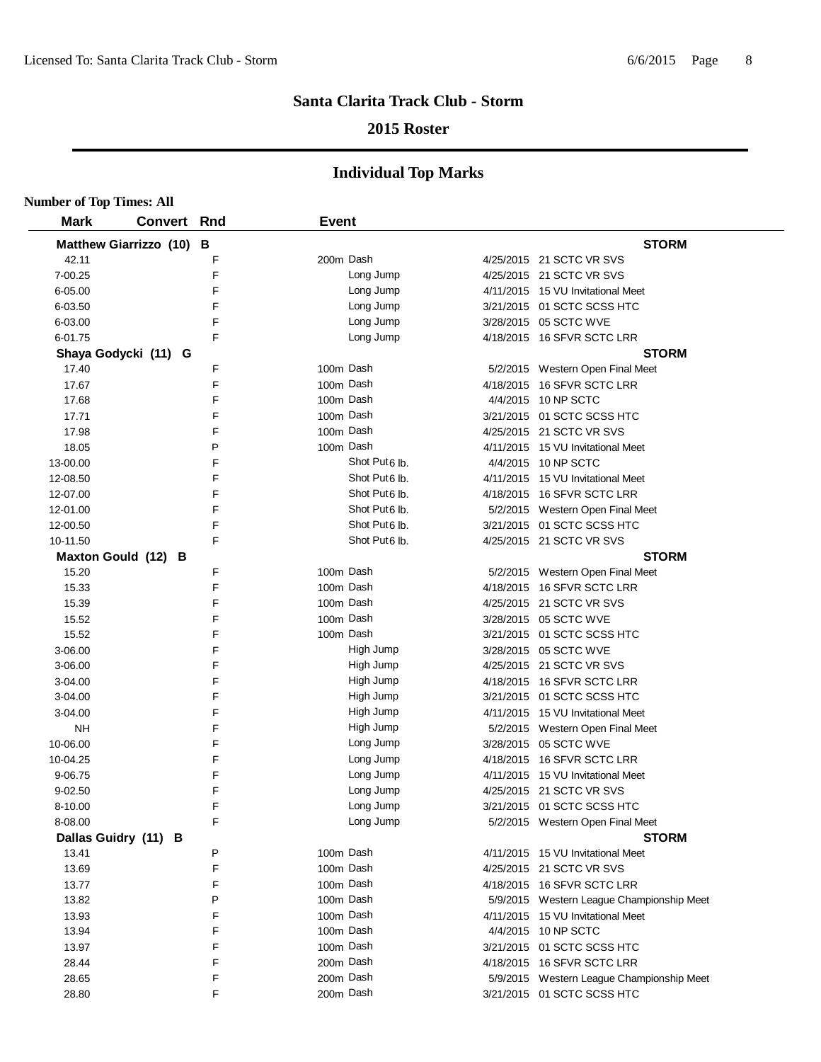## **2015 Roster**

| <b>Number of Top Times: All</b> |                          |        |              |                           |                                           |
|---------------------------------|--------------------------|--------|--------------|---------------------------|-------------------------------------------|
| <b>Mark</b>                     | <b>Convert Rnd</b>       |        | <b>Event</b> |                           |                                           |
|                                 | Matthew Giarrizzo (10) B |        |              |                           | <b>STORM</b>                              |
| 42.11                           |                          | F      | 200m Dash    |                           | 4/25/2015 21 SCTC VR SVS                  |
| 7-00.25                         |                          | F      |              | Long Jump                 | 4/25/2015 21 SCTC VR SVS                  |
| 6-05.00                         |                          | F      |              | Long Jump                 | 4/11/2015 15 VU Invitational Meet         |
| 6-03.50                         |                          | F      |              | Long Jump                 | 3/21/2015 01 SCTC SCSS HTC                |
| 6-03.00                         |                          | F      |              | Long Jump                 | 3/28/2015 05 SCTC WVE                     |
| 6-01.75                         |                          | F      |              | Long Jump                 | 4/18/2015 16 SFVR SCTC LRR                |
|                                 | Shaya Godycki (11) G     |        |              |                           | <b>STORM</b>                              |
| 17.40                           |                          | F      | 100m Dash    |                           | 5/2/2015 Western Open Final Meet          |
| 17.67                           |                          | F      | 100m Dash    |                           | 4/18/2015 16 SFVR SCTC LRR                |
| 17.68                           |                          | F      | 100m Dash    |                           | 4/4/2015 10 NP SCTC                       |
| 17.71                           |                          | F      | 100m Dash    |                           | 3/21/2015 01 SCTC SCSS HTC                |
| 17.98                           |                          | F      | 100m Dash    |                           | 4/25/2015 21 SCTC VR SVS                  |
| 18.05                           |                          | P      | 100m Dash    |                           | 4/11/2015 15 VU Invitational Meet         |
| 13-00.00                        |                          | F      |              | Shot Put <sub>6</sub> lb. | 4/4/2015 10 NP SCTC                       |
| 12-08.50                        |                          | F      |              | Shot Put <sub>6</sub> lb. | 4/11/2015 15 VU Invitational Meet         |
| 12-07.00                        |                          | F      |              | Shot Put6 lb.             | 4/18/2015 16 SFVR SCTC LRR                |
| 12-01.00                        |                          | F      |              | Shot Put6 lb.             | 5/2/2015 Western Open Final Meet          |
| 12-00.50                        |                          | F      |              | Shot Put <sub>6</sub> lb. | 3/21/2015 01 SCTC SCSS HTC                |
| 10-11.50                        |                          | F      |              | Shot Put <sub>6</sub> lb. | 4/25/2015 21 SCTC VR SVS                  |
| Maxton Gould (12) B             |                          |        |              |                           | <b>STORM</b>                              |
| 15.20                           |                          | F      | 100m Dash    |                           | 5/2/2015 Western Open Final Meet          |
| 15.33                           |                          | F      | 100m Dash    |                           | 4/18/2015 16 SFVR SCTC LRR                |
| 15.39                           |                          | F      | 100m Dash    |                           | 4/25/2015 21 SCTC VR SVS                  |
| 15.52                           |                          | F      | 100m Dash    |                           | 3/28/2015 05 SCTC WVE                     |
| 15.52                           |                          | F      | 100m Dash    |                           | 3/21/2015 01 SCTC SCSS HTC                |
| 3-06.00                         |                          | F      |              | High Jump                 | 3/28/2015 05 SCTC WVE                     |
| 3-06.00                         |                          | F      |              | High Jump                 | 4/25/2015 21 SCTC VR SVS                  |
| 3-04.00                         |                          | F      |              | High Jump                 | 4/18/2015 16 SFVR SCTC LRR                |
| 3-04.00                         |                          | F      |              | High Jump                 | 3/21/2015 01 SCTC SCSS HTC                |
| 3-04.00                         |                          | F      |              | High Jump                 | 4/11/2015 15 VU Invitational Meet         |
| NH                              |                          | F      |              | High Jump                 | 5/2/2015 Western Open Final Meet          |
| 10-06.00                        |                          | F      |              | Long Jump                 | 3/28/2015 05 SCTC WVE                     |
| 10-04.25                        |                          | F      |              | Long Jump                 | 4/18/2015 16 SFVR SCTC LRR                |
| 9-06.75                         |                          | F      |              | Long Jump                 | 4/11/2015 15 VU Invitational Meet         |
| 9-02.50                         |                          | F      |              | Long Jump                 | 4/25/2015 21 SCTC VR SVS                  |
| 8-10.00                         |                          | F      |              | Long Jump                 | 3/21/2015 01 SCTC SCSS HTC                |
| 8-08.00                         |                          | F      |              | Long Jump                 | 5/2/2015 Western Open Final Meet          |
| Dallas Guidry (11) B            |                          |        |              |                           | <b>STORM</b>                              |
| 13.41                           |                          | P      | 100m Dash    |                           | 4/11/2015 15 VU Invitational Meet         |
| 13.69                           |                          | F      | 100m Dash    |                           | 4/25/2015 21 SCTC VR SVS                  |
| 13.77                           |                          | F      | 100m Dash    |                           | 4/18/2015 16 SFVR SCTC LRR                |
| 13.82                           |                          | P      | 100m Dash    |                           | 5/9/2015 Western League Championship Meet |
| 13.93                           |                          | F      | 100m Dash    |                           | 4/11/2015 15 VU Invitational Meet         |
| 13.94                           |                          | F      | 100m Dash    |                           | 4/4/2015 10 NP SCTC                       |
| 13.97                           |                          | F      | 100m Dash    |                           | 3/21/2015 01 SCTC SCSS HTC                |
| 28.44                           |                          | F      | 200m Dash    |                           | 4/18/2015 16 SFVR SCTC LRR                |
| 28.65                           |                          | F<br>F | 200m Dash    |                           | 5/9/2015 Western League Championship Meet |
| 28.80                           |                          |        | 200m Dash    |                           | 3/21/2015 01 SCTC SCSS HTC                |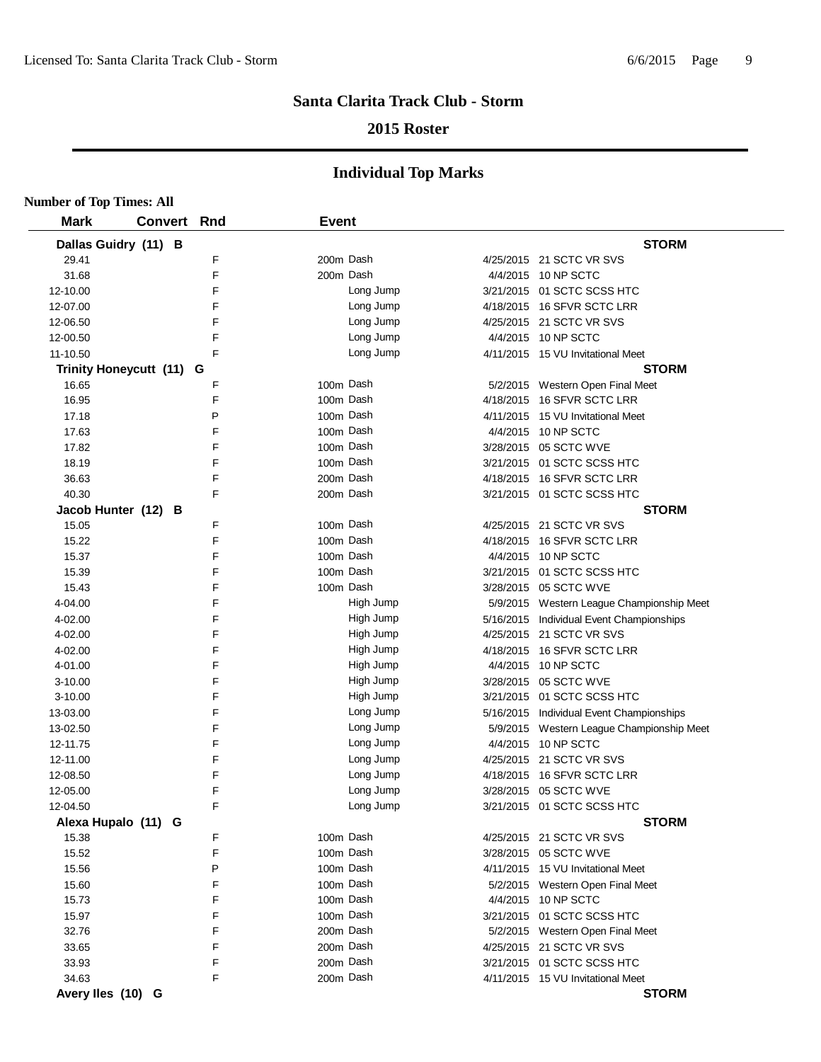# **2015 Roster**

| <b>Number of Top Times: All</b> |                          |     |              |           |                                           |
|---------------------------------|--------------------------|-----|--------------|-----------|-------------------------------------------|
| <b>Mark</b>                     | <b>Convert</b>           | Rnd | <b>Event</b> |           |                                           |
|                                 | Dallas Guidry (11) B     |     |              |           | <b>STORM</b>                              |
| 29.41                           |                          | F   | 200m Dash    |           | 4/25/2015 21 SCTC VR SVS                  |
| 31.68                           |                          | F   | 200m Dash    |           | 4/4/2015 10 NP SCTC                       |
| 12-10.00                        |                          | F   |              | Long Jump | 3/21/2015 01 SCTC SCSS HTC                |
| 12-07.00                        |                          | F   |              | Long Jump | 4/18/2015 16 SFVR SCTC LRR                |
| 12-06.50                        |                          | F   |              | Long Jump | 4/25/2015 21 SCTC VR SVS                  |
| 12-00.50                        |                          | F   |              | Long Jump | 4/4/2015 10 NP SCTC                       |
| 11-10.50                        |                          | F   |              | Long Jump | 4/11/2015 15 VU Invitational Meet         |
|                                 | Trinity Honeycutt (11) G |     |              |           | <b>STORM</b>                              |
| 16.65                           |                          | F   | 100m Dash    |           | 5/2/2015 Western Open Final Meet          |
| 16.95                           |                          | F   | 100m Dash    |           | 4/18/2015 16 SFVR SCTC LRR                |
| 17.18                           |                          | P   | 100m Dash    |           | 4/11/2015 15 VU Invitational Meet         |
| 17.63                           |                          | F   |              | 100m Dash | 4/4/2015 10 NP SCTC                       |
| 17.82                           |                          | F   | 100m Dash    |           | 3/28/2015 05 SCTC WVE                     |
| 18.19                           |                          | F   | 100m Dash    |           | 3/21/2015 01 SCTC SCSS HTC                |
| 36.63                           |                          | F   |              | 200m Dash | 4/18/2015 16 SFVR SCTC LRR                |
| 40.30                           |                          | F   |              | 200m Dash | 3/21/2015 01 SCTC SCSS HTC                |
| Jacob Hunter (12)               | в                        |     |              |           | <b>STORM</b>                              |
| 15.05                           |                          | F   | 100m Dash    |           | 4/25/2015 21 SCTC VR SVS                  |
| 15.22                           |                          | F   | 100m Dash    |           | 4/18/2015 16 SFVR SCTC LRR                |
| 15.37                           |                          | F   |              | 100m Dash | 4/4/2015 10 NP SCTC                       |
| 15.39                           |                          | F   |              | 100m Dash | 3/21/2015 01 SCTC SCSS HTC                |
| 15.43                           |                          | F   | 100m Dash    |           | 3/28/2015 05 SCTC WVE                     |
| 4-04.00                         |                          | F   |              | High Jump | 5/9/2015 Western League Championship Meet |
| 4-02.00                         |                          | F   |              | High Jump | 5/16/2015 Individual Event Championships  |
| 4-02.00                         |                          | F   |              | High Jump | 4/25/2015 21 SCTC VR SVS                  |
| 4-02.00                         |                          | F   |              | High Jump | 4/18/2015 16 SFVR SCTC LRR                |
| 4-01.00                         |                          | F   |              | High Jump | 4/4/2015 10 NP SCTC                       |
| 3-10.00                         |                          | F   |              | High Jump | 3/28/2015 05 SCTC WVE                     |
| $3 - 10.00$                     |                          | F   |              | High Jump | 3/21/2015 01 SCTC SCSS HTC                |
| 13-03.00                        |                          | F   |              | Long Jump | 5/16/2015 Individual Event Championships  |
| 13-02.50                        |                          | F   |              | Long Jump | 5/9/2015 Western League Championship Meet |
| 12-11.75                        |                          | F   |              | Long Jump | 4/4/2015 10 NP SCTC                       |
| 12-11.00                        |                          | F   |              | Long Jump | 4/25/2015 21 SCTC VR SVS                  |
| 12-08.50                        |                          | F   |              | Long Jump | 4/18/2015 16 SFVR SCTC LRR                |
| 12-05.00                        |                          | F   |              | Long Jump | 3/28/2015 05 SCTC WVE                     |
| 12-04.50                        |                          | F   |              | Long Jump | 3/21/2015 01 SCTC SCSS HTC                |
|                                 | Alexa Hupalo (11) G      |     |              |           | <b>STORM</b>                              |
| 15.38                           |                          | F   | 100m Dash    |           | 4/25/2015 21 SCTC VR SVS                  |
| 15.52                           |                          | F   |              | 100m Dash | 3/28/2015 05 SCTC WVE                     |
| 15.56                           |                          | P   |              | 100m Dash | 4/11/2015 15 VU Invitational Meet         |
| 15.60                           |                          | F   |              | 100m Dash | 5/2/2015 Western Open Final Meet          |
| 15.73                           |                          | F   |              | 100m Dash | 4/4/2015 10 NP SCTC                       |
| 15.97                           |                          | F   |              | 100m Dash | 3/21/2015 01 SCTC SCSS HTC                |
| 32.76                           |                          | F   |              | 200m Dash | 5/2/2015 Western Open Final Meet          |
| 33.65                           |                          | F   |              | 200m Dash | 4/25/2015 21 SCTC VR SVS                  |
| 33.93                           |                          | F   |              | 200m Dash | 3/21/2015 01 SCTC SCSS HTC                |
| 34.63                           |                          | F   |              | 200m Dash | 4/11/2015 15 VU Invitational Meet         |
| Avery Iles (10) G               |                          |     |              |           | <b>STORM</b>                              |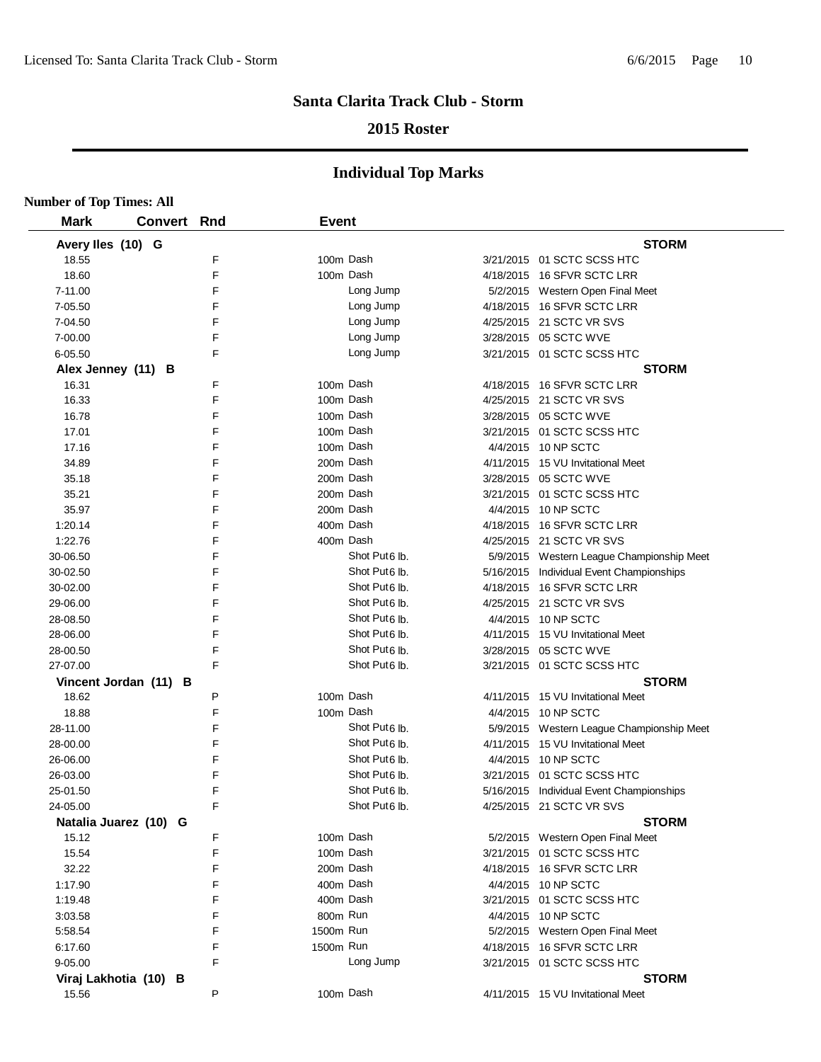## **2015 Roster**

| <b>Number of Top Times: All</b> |                       |     |              |                           |                                           |
|---------------------------------|-----------------------|-----|--------------|---------------------------|-------------------------------------------|
| <b>Mark</b>                     | Convert               | Rnd | <b>Event</b> |                           |                                           |
| Avery Iles (10) G               |                       |     |              |                           | <b>STORM</b>                              |
| 18.55                           |                       | F   | 100m Dash    |                           | 3/21/2015 01 SCTC SCSS HTC                |
| 18.60                           |                       | F   | 100m Dash    |                           | 4/18/2015 16 SFVR SCTC LRR                |
| 7-11.00                         |                       | F   |              | Long Jump                 | 5/2/2015 Western Open Final Meet          |
| 7-05.50                         |                       | F   |              | Long Jump                 | 4/18/2015 16 SFVR SCTC LRR                |
| 7-04.50                         |                       | F   |              | Long Jump                 | 4/25/2015 21 SCTC VR SVS                  |
| 7-00.00                         |                       | F   |              | Long Jump                 | 3/28/2015 05 SCTC WVE                     |
| $6 - 05.50$                     |                       | F   |              | Long Jump                 | 3/21/2015 01 SCTC SCSS HTC                |
| Alex Jenney (11) B              |                       |     |              |                           | <b>STORM</b>                              |
| 16.31                           |                       | F   | 100m Dash    |                           | 4/18/2015 16 SFVR SCTC LRR                |
| 16.33                           |                       | F   | 100m Dash    |                           | 4/25/2015 21 SCTC VR SVS                  |
| 16.78                           |                       | F   |              | 100m Dash                 | 3/28/2015 05 SCTC WVE                     |
| 17.01                           |                       | F   | 100m Dash    |                           | 3/21/2015 01 SCTC SCSS HTC                |
| 17.16                           |                       | F   | 100m Dash    |                           | 4/4/2015 10 NP SCTC                       |
| 34.89                           |                       | F   | 200m Dash    |                           | 4/11/2015 15 VU Invitational Meet         |
| 35.18                           |                       | F   | 200m Dash    |                           | 3/28/2015 05 SCTC WVE                     |
| 35.21                           |                       | F   | 200m Dash    |                           | 3/21/2015 01 SCTC SCSS HTC                |
| 35.97                           |                       | F   |              | 200m Dash                 | 4/4/2015 10 NP SCTC                       |
| 1:20.14                         |                       | F   |              | 400m Dash                 | 4/18/2015 16 SFVR SCTC LRR                |
| 1:22.76                         |                       | F   |              | 400m Dash                 | 4/25/2015 21 SCTC VR SVS                  |
| 30-06.50                        |                       | F   |              | Shot Put <sub>6</sub> lb. | 5/9/2015 Western League Championship Meet |
| 30-02.50                        |                       | F   |              | Shot Put <sub>6</sub> lb. | 5/16/2015 Individual Event Championships  |
| 30-02.00                        |                       | F   |              | Shot Put <sub>6</sub> lb. | 4/18/2015 16 SFVR SCTC LRR                |
| 29-06.00                        |                       | F   |              | Shot Put <sub>6</sub> lb. | 4/25/2015 21 SCTC VR SVS                  |
| 28-08.50                        |                       | F   |              | Shot Put <sub>6</sub> lb. | 4/4/2015 10 NP SCTC                       |
| 28-06.00                        |                       | F   |              | Shot Put <sub>6</sub> lb. | 4/11/2015 15 VU Invitational Meet         |
| 28-00.50                        |                       | F   |              | Shot Put <sub>6</sub> lb. | 3/28/2015 05 SCTC WVE                     |
| 27-07.00                        |                       | F   |              | Shot Put6 lb.             | 3/21/2015 01 SCTC SCSS HTC                |
|                                 | Vincent Jordan (11) B |     |              |                           | <b>STORM</b>                              |
| 18.62                           |                       | P   | 100m Dash    |                           | 4/11/2015 15 VU Invitational Meet         |
| 18.88                           |                       | F   | 100m Dash    |                           | 4/4/2015 10 NP SCTC                       |
| 28-11.00                        |                       | F   |              | Shot Put <sub>6</sub> lb. | 5/9/2015 Western League Championship Meet |
| 28-00.00                        |                       | F   |              | Shot Put <sub>6</sub> lb. | 4/11/2015 15 VU Invitational Meet         |
| 26-06.00                        |                       | F   |              | Shot Put6 lb.             | 4/4/2015 10 NP SCTC                       |
| 26-03.00                        |                       | F   |              | Shot Put6 lb.             | 3/21/2015 01 SCTC SCSS HTC                |
| 25-01.50                        |                       | F   |              | Shot Put <sub>6</sub> lb. | 5/16/2015 Individual Event Championships  |
| 24-05.00                        |                       | F   |              | Shot Put <sub>6</sub> lb. | 4/25/2015 21 SCTC VR SVS                  |
|                                 | Natalia Juarez (10) G |     |              |                           | <b>STORM</b>                              |
| 15.12                           |                       | F   | 100m Dash    |                           | 5/2/2015 Western Open Final Meet          |
| 15.54                           |                       | F   | 100m Dash    |                           | 3/21/2015 01 SCTC SCSS HTC                |
| 32.22                           |                       | F   | 200m Dash    |                           | 4/18/2015 16 SFVR SCTC LRR                |
| 1:17.90                         |                       | F   | 400m Dash    |                           | 4/4/2015 10 NP SCTC                       |
| 1:19.48                         |                       | F   | 400m Dash    |                           | 3/21/2015 01 SCTC SCSS HTC                |
| 3:03.58                         |                       | F   | 800m Run     |                           | 4/4/2015 10 NP SCTC                       |
| 5:58.54                         |                       | F   | 1500m Run    |                           | 5/2/2015 Western Open Final Meet          |
| 6:17.60                         |                       | F   | 1500m Run    |                           | 4/18/2015 16 SFVR SCTC LRR                |
| 9-05.00                         |                       | F   |              | Long Jump                 | 3/21/2015 01 SCTC SCSS HTC                |
|                                 | Viraj Lakhotia (10) B |     |              |                           | <b>STORM</b>                              |
| 15.56                           |                       | P   | 100m Dash    |                           | 4/11/2015 15 VU Invitational Meet         |
|                                 |                       |     |              |                           |                                           |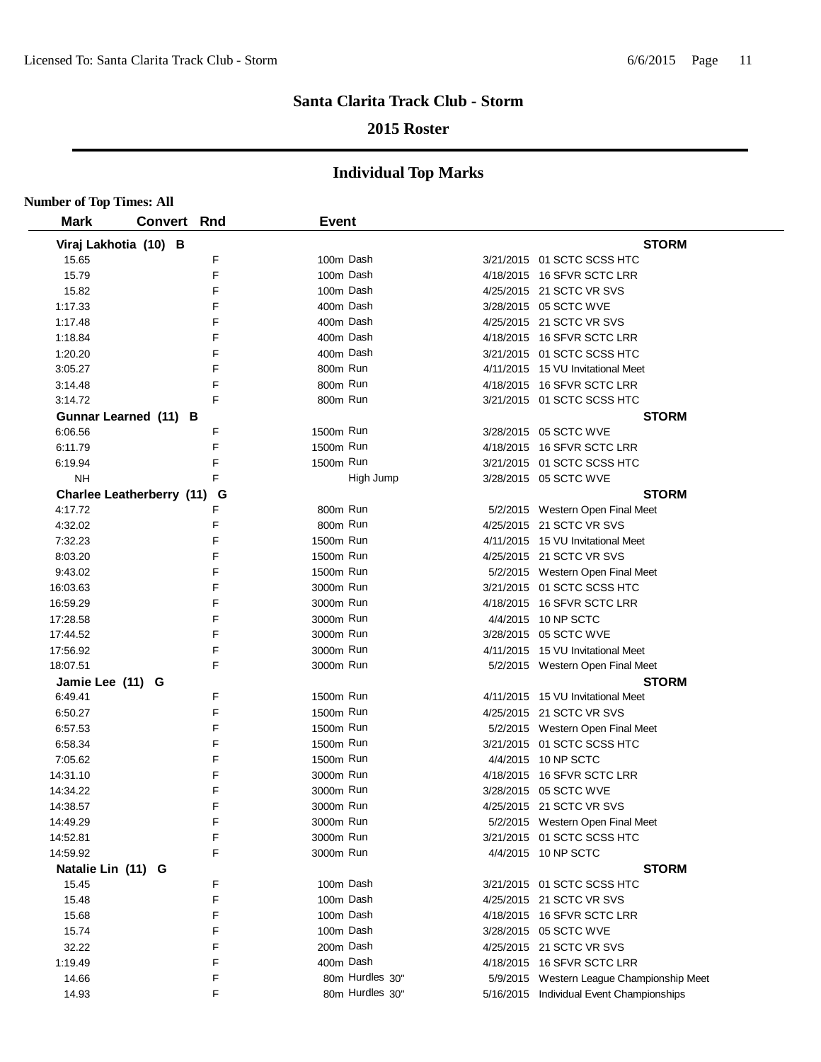## **2015 Roster**

| <b>Number of Top Times: All</b> |                |     |              |                 |                                           |
|---------------------------------|----------------|-----|--------------|-----------------|-------------------------------------------|
| <b>Mark</b>                     | <b>Convert</b> | Rnd | <b>Event</b> |                 |                                           |
| Viraj Lakhotia (10) B           |                |     |              |                 | <b>STORM</b>                              |
| 15.65                           |                | F   |              | 100m Dash       | 3/21/2015 01 SCTC SCSS HTC                |
| 15.79                           |                | F   |              | 100m Dash       | 4/18/2015 16 SFVR SCTC LRR                |
| 15.82                           |                | F   |              | 100m Dash       | 4/25/2015 21 SCTC VR SVS                  |
| 1:17.33                         |                | F   |              | 400m Dash       | 3/28/2015 05 SCTC WVE                     |
| 1:17.48                         |                | F   | 400m Dash    |                 | 4/25/2015 21 SCTC VR SVS                  |
| 1:18.84                         |                | F   | 400m Dash    |                 | 4/18/2015 16 SFVR SCTC LRR                |
| 1:20.20                         |                | F   | 400m Dash    |                 | 3/21/2015 01 SCTC SCSS HTC                |
| 3:05.27                         |                | F   | 800m Run     |                 | 4/11/2015 15 VU Invitational Meet         |
| 3:14.48                         |                | F   | 800m Run     |                 | 4/18/2015 16 SFVR SCTC LRR                |
| 3:14.72                         |                | F   | 800m Run     |                 | 3/21/2015 01 SCTC SCSS HTC                |
| Gunnar Learned (11) B           |                |     |              |                 | <b>STORM</b>                              |
| 6:06.56                         |                | F   | 1500m Run    |                 | 3/28/2015 05 SCTC WVE                     |
| 6:11.79                         |                | F   | 1500m Run    |                 | 4/18/2015 16 SFVR SCTC LRR                |
| 6:19.94                         |                | F   | 1500m Run    |                 | 3/21/2015 01 SCTC SCSS HTC                |
| <b>NH</b>                       |                | F   |              | High Jump       | 3/28/2015 05 SCTC WVE                     |
| Charlee Leatherberry (11) G     |                |     |              |                 | <b>STORM</b>                              |
| 4:17.72                         |                | F   | 800m Run     |                 | 5/2/2015 Western Open Final Meet          |
| 4:32.02                         |                | F   | 800m Run     |                 | 4/25/2015 21 SCTC VR SVS                  |
| 7:32.23                         |                | F   | 1500m Run    |                 | 4/11/2015 15 VU Invitational Meet         |
| 8:03.20                         |                | F   | 1500m Run    |                 | 4/25/2015 21 SCTC VR SVS                  |
| 9:43.02                         |                | F   | 1500m Run    |                 | 5/2/2015 Western Open Final Meet          |
| 16:03.63                        |                | F   | 3000m Run    |                 | 3/21/2015 01 SCTC SCSS HTC                |
| 16:59.29                        |                | F   | 3000m Run    |                 | 4/18/2015 16 SFVR SCTC LRR                |
| 17:28.58                        |                | F   | 3000m Run    |                 | 4/4/2015 10 NP SCTC                       |
| 17:44.52                        |                | F   | 3000m Run    |                 | 3/28/2015 05 SCTC WVE                     |
| 17:56.92                        |                | F   | 3000m Run    |                 | 4/11/2015 15 VU Invitational Meet         |
| 18:07.51                        |                | F   | 3000m Run    |                 | 5/2/2015 Western Open Final Meet          |
| Jamie Lee (11) G                |                |     |              |                 | <b>STORM</b>                              |
| 6:49.41                         |                | F   | 1500m Run    |                 | 4/11/2015 15 VU Invitational Meet         |
| 6:50.27                         |                | F   | 1500m Run    |                 | 4/25/2015 21 SCTC VR SVS                  |
| 6:57.53                         |                | F   | 1500m Run    |                 | 5/2/2015 Western Open Final Meet          |
| 6:58.34                         |                | F   | 1500m Run    |                 | 3/21/2015 01 SCTC SCSS HTC                |
| 7:05.62                         |                | F   | 1500m Run    |                 | 4/4/2015 10 NP SCTC                       |
| 14:31.10                        |                | F   | 3000m Run    |                 | 4/18/2015 16 SFVR SCTC LRR                |
| 14:34.22                        |                | F   | 3000m Run    |                 | 3/28/2015 05 SCTC WVE                     |
| 14:38.57                        |                | F   | 3000m Run    |                 | 4/25/2015 21 SCTC VR SVS                  |
| 14:49.29                        |                | F   | 3000m Run    |                 | 5/2/2015 Western Open Final Meet          |
| 14:52.81                        |                | F   | 3000m Run    |                 | 3/21/2015 01 SCTC SCSS HTC                |
| 14:59.92                        |                | F   | 3000m Run    |                 | 4/4/2015 10 NP SCTC                       |
| Natalie Lin (11) G              |                |     |              |                 | <b>STORM</b>                              |
| 15.45                           |                | F   |              | 100m Dash       | 3/21/2015 01 SCTC SCSS HTC                |
| 15.48                           |                | F   |              | 100m Dash       | 4/25/2015 21 SCTC VR SVS                  |
| 15.68                           |                | F   |              | 100m Dash       | 4/18/2015 16 SFVR SCTC LRR                |
| 15.74                           |                | F   |              | 100m Dash       | 3/28/2015 05 SCTC WVE                     |
| 32.22                           |                | F   |              | 200m Dash       | 4/25/2015 21 SCTC VR SVS                  |
| 1:19.49                         |                | F   |              | 400m Dash       | 4/18/2015 16 SFVR SCTC LRR                |
| 14.66                           |                | F   |              | 80m Hurdles 30" | 5/9/2015 Western League Championship Meet |
| 14.93                           |                | F   |              | 80m Hurdles 30" | 5/16/2015 Individual Event Championships  |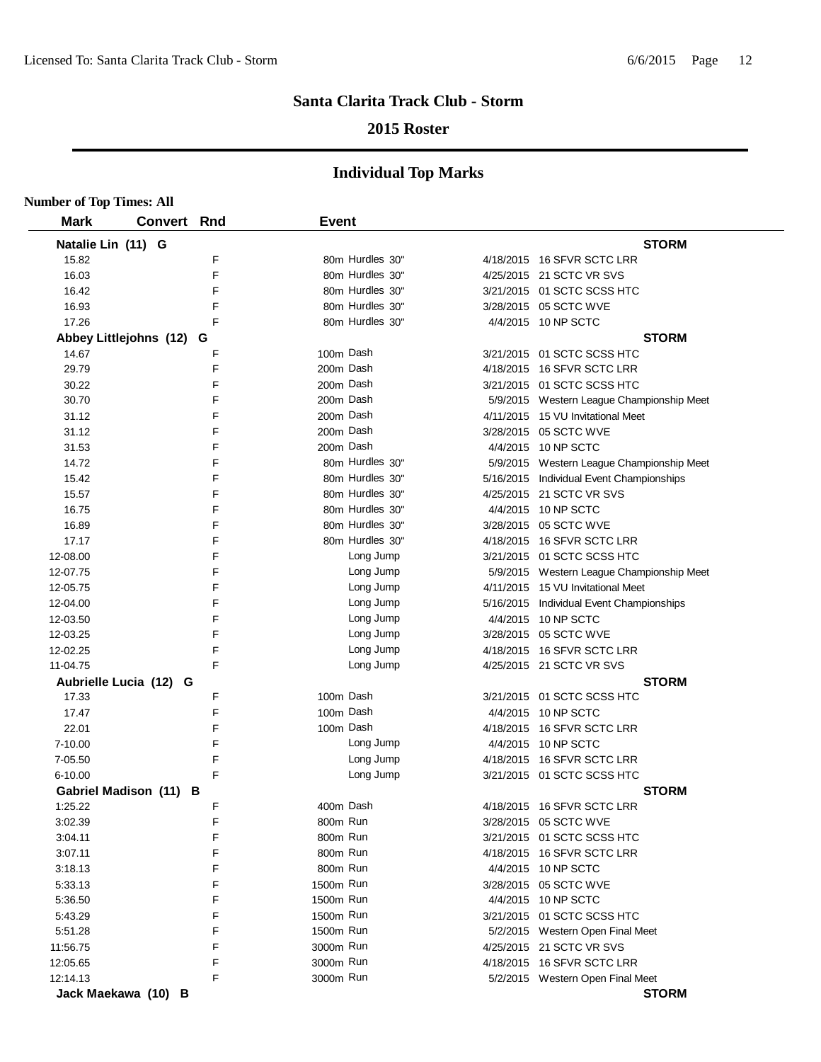## **2015 Roster**

| <b>Number of Top Times: All</b> |                          |   |                 |                                           |
|---------------------------------|--------------------------|---|-----------------|-------------------------------------------|
| <b>Mark</b>                     | <b>Convert Rnd</b>       |   | <b>Event</b>    |                                           |
| Natalie Lin (11) G              |                          |   |                 | <b>STORM</b>                              |
| 15.82                           |                          | F | 80m Hurdles 30" | 4/18/2015 16 SFVR SCTC LRR                |
| 16.03                           |                          | E | 80m Hurdles 30" | 4/25/2015 21 SCTC VR SVS                  |
| 16.42                           |                          | F | 80m Hurdles 30" | 3/21/2015 01 SCTC SCSS HTC                |
| 16.93                           |                          | F | 80m Hurdles 30" | 3/28/2015 05 SCTC WVE                     |
| 17.26                           |                          | F | 80m Hurdles 30" | 4/4/2015 10 NP SCTC                       |
|                                 | Abbey Littlejohns (12) G |   |                 | <b>STORM</b>                              |
| 14.67                           |                          | F | 100m Dash       | 3/21/2015 01 SCTC SCSS HTC                |
| 29.79                           |                          | E | 200m Dash       | 4/18/2015 16 SFVR SCTC LRR                |
| 30.22                           |                          | F | 200m Dash       | 3/21/2015 01 SCTC SCSS HTC                |
| 30.70                           |                          | E | 200m Dash       | 5/9/2015 Western League Championship Meet |
| 31.12                           |                          | F | 200m Dash       | 4/11/2015 15 VU Invitational Meet         |
| 31.12                           |                          | F | 200m Dash       | 3/28/2015 05 SCTC WVE                     |
| 31.53                           |                          | F | 200m Dash       | 4/4/2015 10 NP SCTC                       |
| 14.72                           |                          | F | 80m Hurdles 30" | 5/9/2015 Western League Championship Meet |
| 15.42                           |                          | F | 80m Hurdles 30" | 5/16/2015 Individual Event Championships  |
| 15.57                           |                          | F | 80m Hurdles 30" | 4/25/2015 21 SCTC VR SVS                  |
| 16.75                           |                          | F | 80m Hurdles 30" | 4/4/2015 10 NP SCTC                       |
| 16.89                           |                          | F | 80m Hurdles 30" | 3/28/2015 05 SCTC WVE                     |
| 17.17                           |                          | F | 80m Hurdles 30" | 4/18/2015 16 SFVR SCTC LRR                |
| 12-08.00                        |                          | F | Long Jump       | 3/21/2015 01 SCTC SCSS HTC                |
| 12-07.75                        |                          | F | Long Jump       | 5/9/2015 Western League Championship Meet |
| 12-05.75                        |                          | F | Long Jump       | 4/11/2015 15 VU Invitational Meet         |
| 12-04.00                        |                          | E | Long Jump       | 5/16/2015 Individual Event Championships  |
| 12-03.50                        |                          | F | Long Jump       | 4/4/2015 10 NP SCTC                       |
| 12-03.25                        |                          | E | Long Jump       | 3/28/2015 05 SCTC WVE                     |
| 12-02.25                        |                          | F | Long Jump       | 4/18/2015 16 SFVR SCTC LRR                |
| 11-04.75                        |                          | F | Long Jump       | 4/25/2015 21 SCTC VR SVS                  |
|                                 | Aubrielle Lucia (12) G   |   |                 | <b>STORM</b>                              |
| 17.33                           |                          | F | 100m Dash       | 3/21/2015 01 SCTC SCSS HTC                |
| 17.47                           |                          | F | 100m Dash       | 4/4/2015 10 NP SCTC                       |
| 22.01                           |                          | F | 100m Dash       | 4/18/2015 16 SFVR SCTC LRR                |
| 7-10.00                         |                          | F | Long Jump       | 4/4/2015 10 NP SCTC                       |
| 7-05.50                         |                          | F | Long Jump       | 4/18/2015 16 SFVR SCTC LRR                |
| $6 - 10.00$                     |                          | F | Long Jump       | 3/21/2015 01 SCTC SCSS HTC                |
|                                 | Gabriel Madison (11) B   |   |                 | <b>STORM</b>                              |
| 1:25.22                         |                          | F | 400m Dash       | 4/18/2015 16 SFVR SCTC LRR                |
| 3:02.39                         |                          | F | 800m Run        | 3/28/2015 05 SCTC WVE                     |
| 3:04.11                         |                          | F | 800m Run        | 3/21/2015 01 SCTC SCSS HTC                |
| 3:07.11                         |                          | F | 800m Run        | 4/18/2015 16 SFVR SCTC LRR                |
| 3:18.13                         |                          | F | 800m Run        | 4/4/2015 10 NP SCTC                       |
| 5:33.13                         |                          | F | 1500m Run       | 3/28/2015 05 SCTC WVE                     |
| 5:36.50                         |                          | F | 1500m Run       | 4/4/2015 10 NP SCTC                       |
| 5:43.29                         |                          | F | 1500m Run       | 3/21/2015 01 SCTC SCSS HTC                |
| 5:51.28                         |                          | F | 1500m Run       | 5/2/2015 Western Open Final Meet          |
| 11:56.75                        |                          | F | 3000m Run       | 4/25/2015 21 SCTC VR SVS                  |
| 12:05.65                        |                          | F | 3000m Run       | 4/18/2015 16 SFVR SCTC LRR                |
| 12:14.13                        |                          | F | 3000m Run       | 5/2/2015 Western Open Final Meet          |
|                                 | Jack Maekawa (10) B      |   |                 | <b>STORM</b>                              |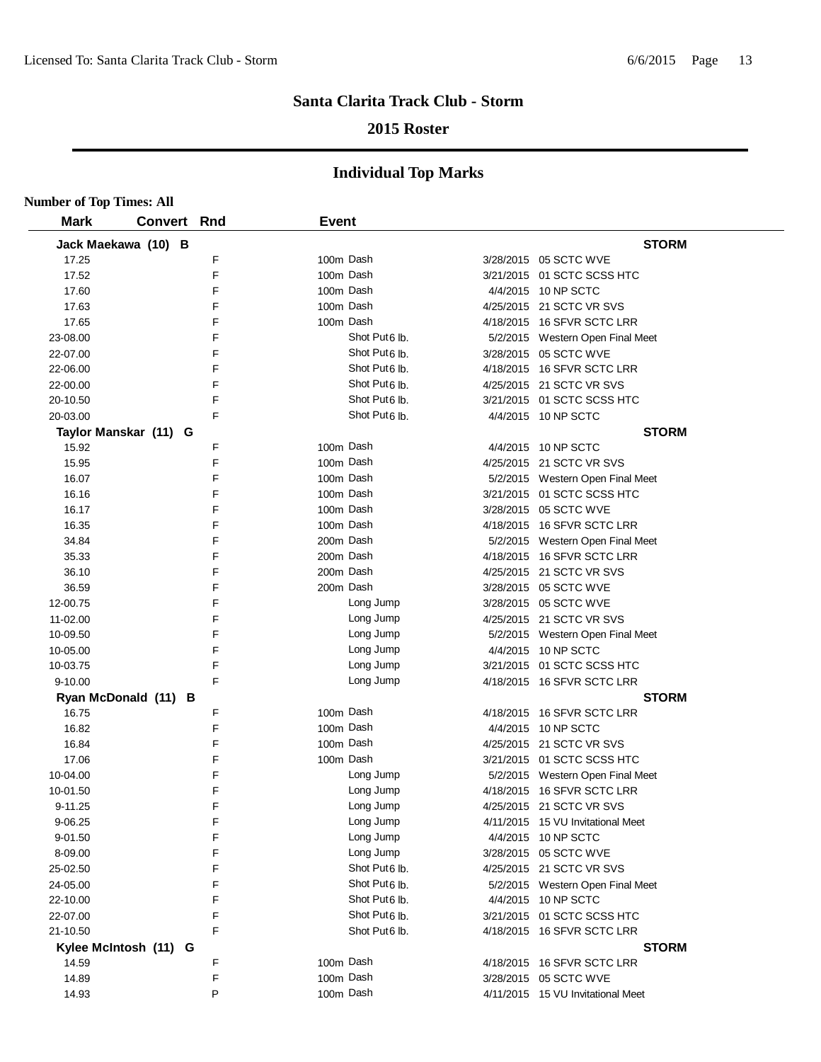## **2015 Roster**

| <b>Number of Top Times: All</b> |                       |        |                           |                                   |
|---------------------------------|-----------------------|--------|---------------------------|-----------------------------------|
| <b>Mark</b>                     | Convert Rnd           |        | <b>Event</b>              |                                   |
|                                 | Jack Maekawa (10) B   |        |                           | <b>STORM</b>                      |
| 17.25                           |                       | F      | 100m Dash                 | 3/28/2015 05 SCTC WVE             |
| 17.52                           |                       | E      | 100m Dash                 | 3/21/2015 01 SCTC SCSS HTC        |
| 17.60                           |                       | F      | 100m Dash                 | 4/4/2015 10 NP SCTC               |
| 17.63                           |                       | F      | 100m Dash                 | 4/25/2015 21 SCTC VR SVS          |
| 17.65                           |                       | F      | 100m Dash                 | 4/18/2015 16 SFVR SCTC LRR        |
| 23-08.00                        |                       | E      | Shot Put <sub>6</sub> lb. | 5/2/2015 Western Open Final Meet  |
| 22-07.00                        |                       | F      | Shot Put <sub>6</sub> lb. | 3/28/2015 05 SCTC WVE             |
| 22-06.00                        |                       | F      | Shot Put <sub>6</sub> lb. | 4/18/2015 16 SFVR SCTC LRR        |
| 22-00.00                        |                       | F      | Shot Put6 lb.             | 4/25/2015 21 SCTC VR SVS          |
| 20-10.50                        |                       | F      | Shot Put6 lb.             | 3/21/2015 01 SCTC SCSS HTC        |
| 20-03.00                        |                       | F      | Shot Put <sub>6</sub> lb. | 4/4/2015 10 NP SCTC               |
|                                 | Taylor Manskar (11) G |        |                           | <b>STORM</b>                      |
| 15.92                           |                       | F      | 100m Dash                 | 4/4/2015 10 NP SCTC               |
| 15.95                           |                       | F      | 100m Dash                 | 4/25/2015 21 SCTC VR SVS          |
| 16.07                           |                       | F      | 100m Dash                 | 5/2/2015 Western Open Final Meet  |
| 16.16                           |                       | F      | 100m Dash                 | 3/21/2015 01 SCTC SCSS HTC        |
| 16.17                           |                       | F      | 100m Dash                 | 3/28/2015 05 SCTC WVE             |
| 16.35                           |                       | F      | 100m Dash                 | 4/18/2015 16 SFVR SCTC LRR        |
| 34.84                           |                       | F      | 200m Dash                 | 5/2/2015 Western Open Final Meet  |
| 35.33                           |                       | F      | 200m Dash                 | 4/18/2015 16 SFVR SCTC LRR        |
| 36.10                           |                       | F      | 200m Dash                 | 4/25/2015 21 SCTC VR SVS          |
| 36.59                           |                       | F      | 200m Dash                 | 3/28/2015 05 SCTC WVE             |
| 12-00.75                        |                       | E      | Long Jump                 | 3/28/2015 05 SCTC WVE             |
| 11-02.00                        |                       | F      | Long Jump                 | 4/25/2015 21 SCTC VR SVS          |
| 10-09.50                        |                       | E      | Long Jump                 | 5/2/2015 Western Open Final Meet  |
| 10-05.00                        |                       | F      | Long Jump                 | 4/4/2015 10 NP SCTC               |
| 10-03.75                        |                       | F      | Long Jump                 | 3/21/2015 01 SCTC SCSS HTC        |
| $9 - 10.00$                     |                       | F      | Long Jump                 | 4/18/2015 16 SFVR SCTC LRR        |
|                                 | Ryan McDonald (11) B  |        |                           | <b>STORM</b>                      |
| 16.75                           |                       | F      | 100m Dash                 | 4/18/2015 16 SFVR SCTC LRR        |
| 16.82                           |                       | F      | 100m Dash                 | 4/4/2015 10 NP SCTC               |
| 16.84                           |                       | F      | 100m Dash                 | 4/25/2015 21 SCTC VR SVS          |
| 17.06                           |                       | F      | 100m Dash                 | 3/21/2015 01 SCTC SCSS HTC        |
| 10-04.00                        |                       | F      | Long Jump                 | 5/2/2015 Western Open Final Meet  |
| 10-01.50                        |                       | F      | Long Jump                 | 4/18/2015 16 SFVR SCTC LRR        |
| 9-11.25                         |                       | F      | Long Jump                 | 4/25/2015 21 SCTC VR SVS          |
| 9-06.25                         |                       | F      | Long Jump                 | 4/11/2015 15 VU Invitational Meet |
| 9-01.50                         |                       | F      | Long Jump                 | 4/4/2015 10 NP SCTC               |
| 8-09.00                         |                       | F      | Long Jump                 | 3/28/2015 05 SCTC WVE             |
| 25-02.50                        |                       | F      | Shot Put <sub>6</sub> lb. | 4/25/2015 21 SCTC VR SVS          |
| 24-05.00                        |                       | F      | Shot Put6 lb.             | 5/2/2015 Western Open Final Meet  |
| 22-10.00                        |                       | F      | Shot Put <sub>6</sub> lb. | 4/4/2015 10 NP SCTC               |
| 22-07.00                        |                       | F      | Shot Put6 lb.             | 3/21/2015 01 SCTC SCSS HTC        |
| 21-10.50                        |                       | F      | Shot Put6 lb.             | 4/18/2015 16 SFVR SCTC LRR        |
|                                 | Kylee McIntosh (11) G |        |                           | <b>STORM</b>                      |
| 14.59                           |                       | F      | 100m Dash                 | 4/18/2015 16 SFVR SCTC LRR        |
| 14.89                           |                       | F<br>P | 100m Dash                 | 3/28/2015 05 SCTC WVE             |
| 14.93                           |                       |        | 100m Dash                 | 4/11/2015 15 VU Invitational Meet |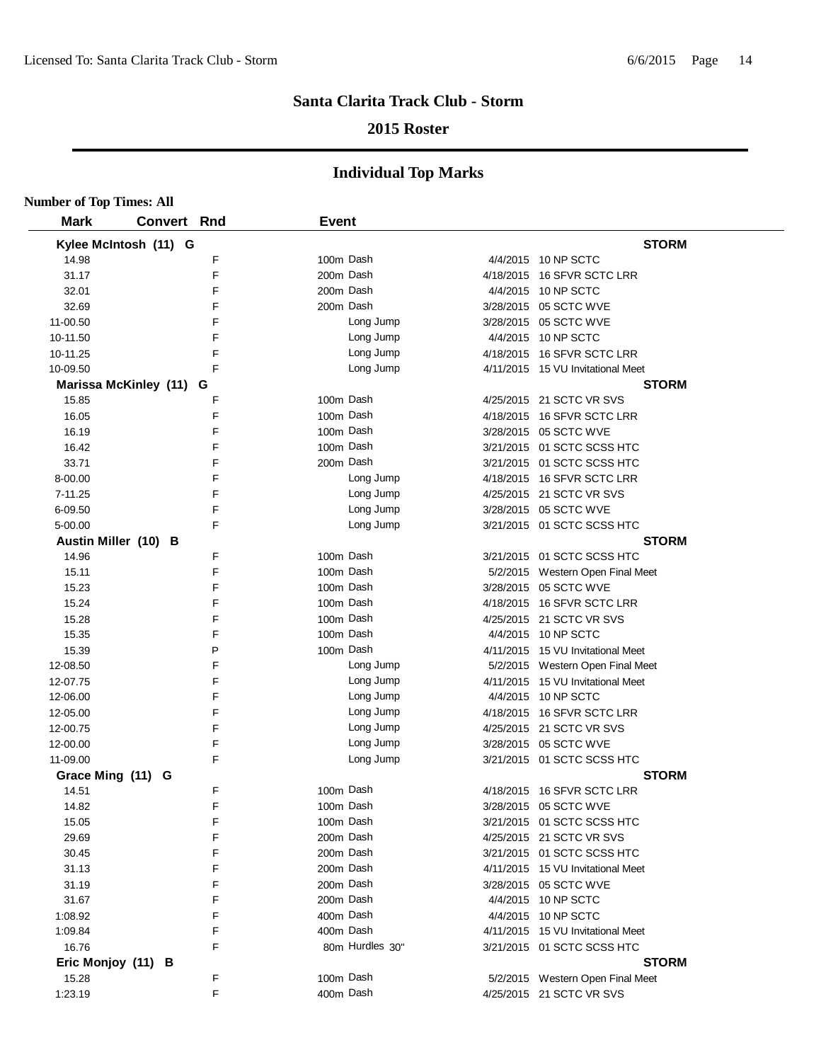## **2015 Roster**

| <b>Number of Top Times: All</b> |                         |   |              |                 |                                   |
|---------------------------------|-------------------------|---|--------------|-----------------|-----------------------------------|
| <b>Mark</b>                     | <b>Convert Rnd</b>      |   | <b>Event</b> |                 |                                   |
|                                 | Kylee McIntosh (11) G   |   |              |                 | <b>STORM</b>                      |
| 14.98                           |                         | F | 100m Dash    |                 | 4/4/2015 10 NP SCTC               |
| 31.17                           |                         | F | 200m Dash    |                 | 4/18/2015 16 SFVR SCTC LRR        |
| 32.01                           |                         | F |              | 200m Dash       | 4/4/2015 10 NP SCTC               |
| 32.69                           |                         | F | 200m Dash    |                 | 3/28/2015  05 SCTC WVE            |
| 11-00.50                        |                         | F |              | Long Jump       | 3/28/2015  05 SCTC WVE            |
| 10-11.50                        |                         | F |              | Long Jump       | 4/4/2015 10 NP SCTC               |
| 10-11.25                        |                         | F |              | Long Jump       | 4/18/2015 16 SFVR SCTC LRR        |
| 10-09.50                        |                         | F |              | Long Jump       | 4/11/2015 15 VU Invitational Meet |
|                                 | Marissa McKinley (11) G |   |              |                 | <b>STORM</b>                      |
| 15.85                           |                         | F | 100m Dash    |                 | 4/25/2015 21 SCTC VR SVS          |
| 16.05                           |                         | F |              | 100m Dash       | 4/18/2015 16 SFVR SCTC LRR        |
| 16.19                           |                         | F | 100m Dash    |                 | 3/28/2015 05 SCTC WVE             |
| 16.42                           |                         | F | 100m Dash    |                 | 3/21/2015 01 SCTC SCSS HTC        |
| 33.71                           |                         | F | 200m Dash    |                 | 3/21/2015 01 SCTC SCSS HTC        |
| 8-00.00                         |                         | F |              | Long Jump       | 4/18/2015 16 SFVR SCTC LRR        |
| 7-11.25                         |                         | F |              | Long Jump       | 4/25/2015 21 SCTC VR SVS          |
| 6-09.50                         |                         | F |              | Long Jump       | 3/28/2015 05 SCTC WVE             |
| 5-00.00                         |                         | F |              | Long Jump       | 3/21/2015 01 SCTC SCSS HTC        |
|                                 | Austin Miller (10) B    |   |              |                 | <b>STORM</b>                      |
| 14.96                           |                         | F |              | 100m Dash       | 3/21/2015 01 SCTC SCSS HTC        |
| 15.11                           |                         | F | 100m Dash    |                 | 5/2/2015 Western Open Final Meet  |
| 15.23                           |                         | F | 100m Dash    |                 | 3/28/2015 05 SCTC WVE             |
| 15.24                           |                         | F | 100m Dash    |                 | 4/18/2015 16 SFVR SCTC LRR        |
| 15.28                           |                         | F | 100m Dash    |                 | 4/25/2015 21 SCTC VR SVS          |
| 15.35                           |                         | F | 100m Dash    |                 | 4/4/2015 10 NP SCTC               |
| 15.39                           |                         | P | 100m Dash    |                 | 4/11/2015 15 VU Invitational Meet |
| 12-08.50                        |                         | F |              | Long Jump       | 5/2/2015 Western Open Final Meet  |
| 12-07.75                        |                         | F |              | Long Jump       | 4/11/2015 15 VU Invitational Meet |
| 12-06.00                        |                         | F |              | Long Jump       | 4/4/2015 10 NP SCTC               |
| 12-05.00                        |                         | F |              | Long Jump       | 4/18/2015 16 SFVR SCTC LRR        |
| 12-00.75                        |                         | F |              | Long Jump       | 4/25/2015 21 SCTC VR SVS          |
| 12-00.00                        |                         | F |              | Long Jump       | 3/28/2015 05 SCTC WVE             |
| 11-09.00                        |                         | F |              | Long Jump       | 3/21/2015 01 SCTC SCSS HTC        |
| Grace Ming (11) G               |                         |   |              |                 | <b>STORM</b>                      |
| 14.51                           |                         | F | 100m Dash    |                 | 4/18/2015 16 SFVR SCTC LRR        |
| 14.82                           |                         | F |              | 100m Dash       |                                   |
| 15.05                           |                         | F |              | 100m Dash       | 3/21/2015 01 SCTC SCSS HTC        |
| 29.69                           |                         | F |              | 200m Dash       | 4/25/2015 21 SCTC VR SVS          |
| 30.45                           |                         | F |              | 200m Dash       | 3/21/2015 01 SCTC SCSS HTC        |
| 31.13                           |                         | F | 200m Dash    |                 | 4/11/2015 15 VU Invitational Meet |
| 31.19                           |                         | F | 200m Dash    |                 | 3/28/2015 05 SCTC WVE             |
| 31.67                           |                         | F | 200m Dash    |                 | 4/4/2015 10 NP SCTC               |
| 1:08.92                         |                         | F |              | 400m Dash       | 4/4/2015 10 NP SCTC               |
| 1:09.84                         |                         | F |              | 400m Dash       | 4/11/2015 15 VU Invitational Meet |
| 16.76                           |                         | F |              | 80m Hurdles 30" | 3/21/2015 01 SCTC SCSS HTC        |
|                                 | Eric Monjoy (11) B      |   |              |                 | <b>STORM</b>                      |
| 15.28                           |                         | F | 100m Dash    |                 | 5/2/2015 Western Open Final Meet  |
| 1:23.19                         |                         | F |              | 400m Dash       | 4/25/2015 21 SCTC VR SVS          |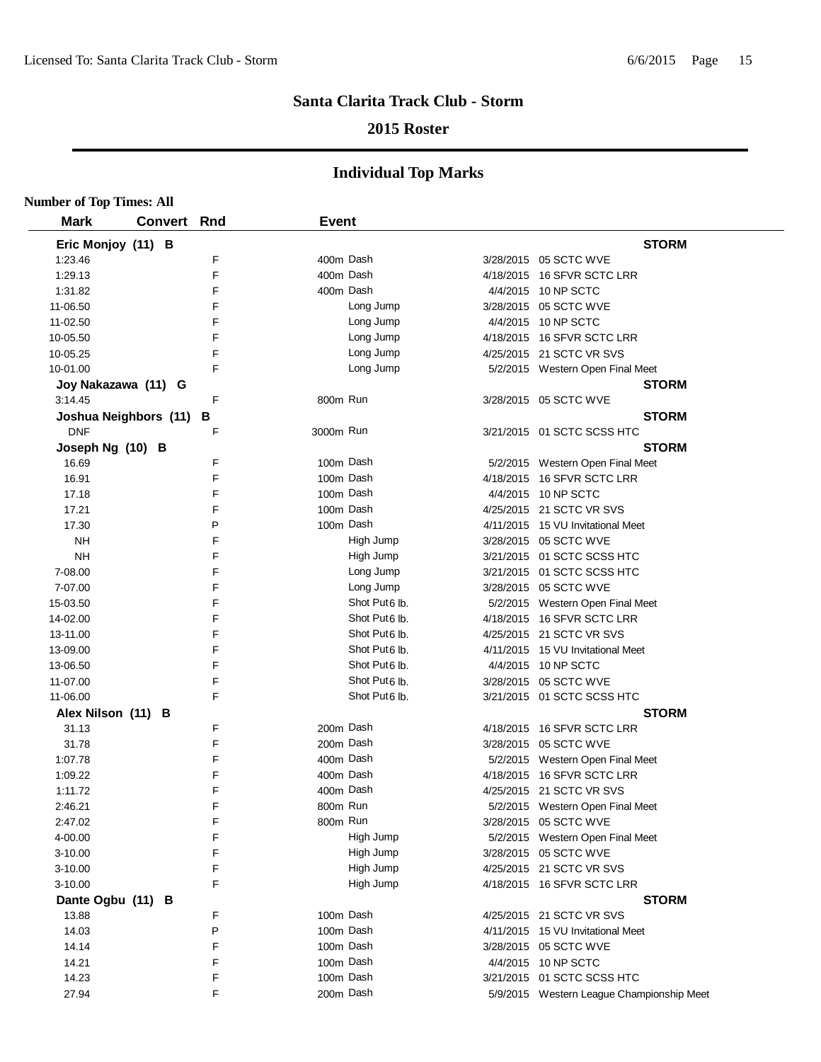## **2015 Roster**

| <b>Number of Top Times: All</b> |                    |   |              |                           |                                           |
|---------------------------------|--------------------|---|--------------|---------------------------|-------------------------------------------|
| <b>Mark</b>                     | <b>Convert Rnd</b> |   | <b>Event</b> |                           |                                           |
| Eric Monjoy (11) B              |                    |   |              |                           | <b>STORM</b>                              |
| 1:23.46                         |                    | F | 400m Dash    |                           | 3/28/2015 05 SCTC WVE                     |
| 1:29.13                         |                    | F | 400m Dash    |                           | 4/18/2015 16 SFVR SCTC LRR                |
| 1:31.82                         |                    | F |              | 400m Dash                 | 4/4/2015 10 NP SCTC                       |
| 11-06.50                        |                    | F |              | Long Jump                 | 3/28/2015 05 SCTC WVE                     |
| 11-02.50                        |                    | F |              | Long Jump                 | 4/4/2015 10 NP SCTC                       |
| 10-05.50                        |                    | F |              | Long Jump                 | 4/18/2015 16 SFVR SCTC LRR                |
| 10-05.25                        |                    | F |              | Long Jump                 | 4/25/2015 21 SCTC VR SVS                  |
| 10-01.00                        |                    | E |              | Long Jump                 | 5/2/2015 Western Open Final Meet          |
| Joy Nakazawa (11) G             |                    |   |              |                           | <b>STORM</b>                              |
| 3:14.45                         |                    | E | 800m Run     |                           | 3/28/2015 05 SCTC WVE                     |
| Joshua Neighbors (11)           |                    | в |              |                           | <b>STORM</b>                              |
| <b>DNF</b>                      |                    | F | 3000m Run    |                           | 3/21/2015 01 SCTC SCSS HTC                |
| Joseph Ng (10) B                |                    |   |              |                           | <b>STORM</b>                              |
| 16.69                           |                    | F | 100m Dash    |                           | 5/2/2015 Western Open Final Meet          |
| 16.91                           |                    | F |              | 100m Dash                 | 4/18/2015 16 SFVR SCTC LRR                |
| 17.18                           |                    | F | 100m Dash    |                           | 4/4/2015 10 NP SCTC                       |
| 17.21                           |                    | F | 100m Dash    |                           | 4/25/2015 21 SCTC VR SVS                  |
| 17.30                           |                    | P | 100m Dash    |                           | 4/11/2015 15 VU Invitational Meet         |
| <b>NH</b>                       |                    | F |              | High Jump                 | 3/28/2015 05 SCTC WVE                     |
| <b>NH</b>                       |                    | F |              | High Jump                 | 3/21/2015 01 SCTC SCSS HTC                |
| 7-08.00                         |                    | F |              | Long Jump                 | 3/21/2015 01 SCTC SCSS HTC                |
| 7-07.00                         |                    | F |              | Long Jump                 | 3/28/2015 05 SCTC WVE                     |
| 15-03.50                        |                    | F |              | Shot Put <sub>6</sub> lb. | 5/2/2015 Western Open Final Meet          |
| 14-02.00                        |                    | F |              | Shot Put <sub>6</sub> lb. | 4/18/2015 16 SFVR SCTC LRR                |
| 13-11.00                        |                    | E |              | Shot Put <sub>6</sub> lb. | 4/25/2015 21 SCTC VR SVS                  |
| 13-09.00                        |                    | F |              | Shot Put6 lb.             | 4/11/2015 15 VU Invitational Meet         |
| 13-06.50                        |                    | E |              | Shot Put <sub>6</sub> lb. | 4/4/2015 10 NP SCTC                       |
| 11-07.00                        |                    | F |              | Shot Put <sub>6</sub> lb. | 3/28/2015 05 SCTC WVE                     |
| 11-06.00                        |                    | F |              | Shot Put6 lb.             | 3/21/2015 01 SCTC SCSS HTC                |
| Alex Nilson (11) B              |                    |   |              |                           | <b>STORM</b>                              |
| 31.13                           |                    | F | 200m Dash    |                           | 4/18/2015 16 SFVR SCTC LRR                |
| 31.78                           |                    | F | 200m Dash    |                           | 3/28/2015 05 SCTC WVE                     |
| 1:07.78                         |                    | F | 400m Dash    |                           | 5/2/2015 Western Open Final Meet          |
| 1:09.22                         |                    | F | 400m Dash    |                           | 4/18/2015 16 SFVR SCTC LRR                |
| 1:11.72                         |                    | F |              | 400m Dash                 | 4/25/2015 21 SCTC VR SVS                  |
| 2:46.21                         |                    | F | 800m Run     |                           | 5/2/2015 Western Open Final Meet          |
| 2:47.02                         |                    | F | 800m Run     |                           | 3/28/2015 05 SCTC WVE                     |
| 4-00.00                         |                    | F |              | High Jump                 | 5/2/2015 Western Open Final Meet          |
| $3 - 10.00$                     |                    | F |              | High Jump                 | 3/28/2015 05 SCTC WVE                     |
| 3-10.00                         |                    | F |              | High Jump                 | 4/25/2015 21 SCTC VR SVS                  |
| 3-10.00                         |                    | F |              | High Jump                 | 4/18/2015 16 SFVR SCTC LRR                |
| Dante Ogbu (11) B               |                    |   |              |                           | <b>STORM</b>                              |
| 13.88                           |                    | F | 100m Dash    |                           | 4/25/2015 21 SCTC VR SVS                  |
| 14.03                           |                    | P |              | 100m Dash                 | 4/11/2015 15 VU Invitational Meet         |
| 14.14                           |                    | F |              | 100m Dash                 | 3/28/2015 05 SCTC WVE                     |
| 14.21                           |                    | F | 100m Dash    |                           | 4/4/2015 10 NP SCTC                       |
| 14.23                           |                    | F | 100m Dash    |                           | 3/21/2015 01 SCTC SCSS HTC                |
| 27.94                           |                    | F | 200m Dash    |                           | 5/9/2015 Western League Championship Meet |
|                                 |                    |   |              |                           |                                           |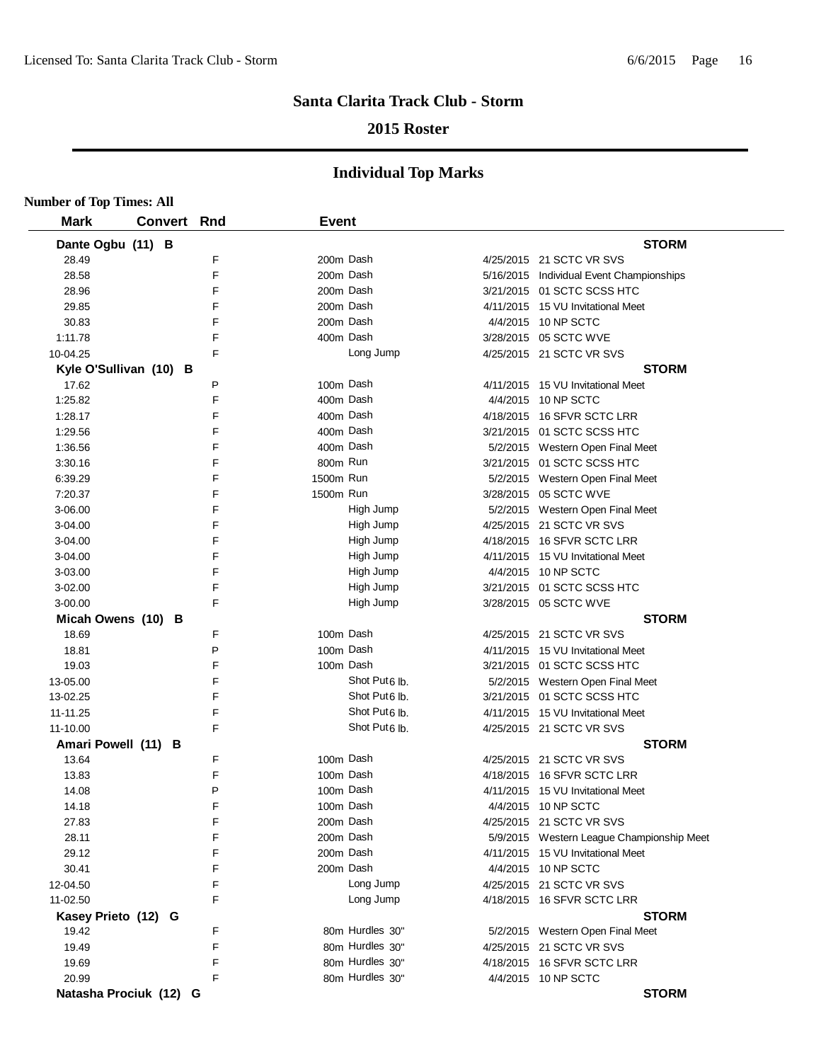## **2015 Roster**

| <b>Number of Top Times: All</b> |             |   |              |                           |                                           |
|---------------------------------|-------------|---|--------------|---------------------------|-------------------------------------------|
| <b>Mark</b>                     | Convert Rnd |   | <b>Event</b> |                           |                                           |
| Dante Ogbu (11) B               |             |   |              |                           | <b>STORM</b>                              |
| 28.49                           |             | F | 200m Dash    |                           | 4/25/2015 21 SCTC VR SVS                  |
| 28.58                           |             | F | 200m Dash    |                           | 5/16/2015 Individual Event Championships  |
| 28.96                           |             | F | 200m Dash    |                           | 3/21/2015 01 SCTC SCSS HTC                |
| 29.85                           |             | F | 200m Dash    |                           | 4/11/2015 15 VU Invitational Meet         |
| 30.83                           |             | F | 200m Dash    |                           | 4/4/2015 10 NP SCTC                       |
| 1:11.78                         |             | F | 400m Dash    |                           | 3/28/2015 05 SCTC WVE                     |
| 10-04.25                        |             | F |              | Long Jump                 | 4/25/2015 21 SCTC VR SVS                  |
| Kyle O'Sullivan (10) B          |             |   |              |                           | <b>STORM</b>                              |
| 17.62                           |             | P | 100m Dash    |                           | 4/11/2015 15 VU Invitational Meet         |
| 1:25.82                         |             | F | 400m Dash    |                           | 4/4/2015 10 NP SCTC                       |
| 1:28.17                         |             | F | 400m Dash    |                           | 4/18/2015 16 SFVR SCTC LRR                |
| 1:29.56                         |             | F | 400m Dash    |                           | 3/21/2015 01 SCTC SCSS HTC                |
| 1:36.56                         |             | F | 400m Dash    |                           | 5/2/2015 Western Open Final Meet          |
| 3:30.16                         |             | F | 800m Run     |                           | 3/21/2015 01 SCTC SCSS HTC                |
| 6:39.29                         |             | F | 1500m Run    |                           | 5/2/2015 Western Open Final Meet          |
| 7:20.37                         |             | F | 1500m Run    |                           | 3/28/2015 05 SCTC WVE                     |
| 3-06.00                         |             | F |              | High Jump                 | 5/2/2015 Western Open Final Meet          |
| 3-04.00                         |             | F |              | High Jump                 | 4/25/2015 21 SCTC VR SVS                  |
| 3-04.00                         |             | F |              | High Jump                 | 4/18/2015 16 SFVR SCTC LRR                |
| 3-04.00                         |             | F |              | High Jump                 | 4/11/2015 15 VU Invitational Meet         |
| 3-03.00                         |             | F |              | High Jump                 | 4/4/2015 10 NP SCTC                       |
| 3-02.00                         |             | F |              | High Jump                 | 3/21/2015 01 SCTC SCSS HTC                |
| 3-00.00                         |             | F |              | High Jump                 | 3/28/2015 05 SCTC WVE                     |
| Micah Owens (10) B              |             |   |              |                           | <b>STORM</b>                              |
| 18.69                           |             | F | 100m Dash    |                           | 4/25/2015 21 SCTC VR SVS                  |
| 18.81                           |             | P | 100m Dash    |                           | 4/11/2015 15 VU Invitational Meet         |
| 19.03                           |             | F | 100m Dash    |                           | 3/21/2015 01 SCTC SCSS HTC                |
| 13-05.00                        |             | F |              | Shot Put <sub>6</sub> lb. | 5/2/2015 Western Open Final Meet          |
| 13-02.25                        |             | F |              | Shot Put <sub>6</sub> lb. | 3/21/2015 01 SCTC SCSS HTC                |
| 11-11.25                        |             | F |              | Shot Put <sub>6</sub> lb. | 4/11/2015 15 VU Invitational Meet         |
| 11-10.00                        |             | F |              | Shot Put6 lb.             | 4/25/2015 21 SCTC VR SVS                  |
| Amari Powell (11) B             |             |   |              |                           | <b>STORM</b>                              |
| 13.64                           |             | F | 100m Dash    |                           | 4/25/2015 21 SCTC VR SVS                  |
| 13.83                           |             | F | 100m Dash    |                           | 4/18/2015 16 SFVR SCTC LRR                |
| 14.08                           |             | P | 100m Dash    |                           | 4/11/2015 15 VU Invitational Meet         |
| 14.18                           |             | F | 100m Dash    |                           | 4/4/2015 10 NP SCTC                       |
| 27.83                           |             | F |              | 200m Dash                 | 4/25/2015 21 SCTC VR SVS                  |
| 28.11                           |             | F |              | 200m Dash                 | 5/9/2015 Western League Championship Meet |
| 29.12                           |             | F |              | 200m Dash                 | 4/11/2015 15 VU Invitational Meet         |
| 30.41                           |             | F | 200m Dash    |                           | 4/4/2015 10 NP SCTC                       |
| 12-04.50                        |             | F |              | Long Jump                 | 4/25/2015 21 SCTC VR SVS                  |
| 11-02.50                        |             | F |              | Long Jump                 | 4/18/2015 16 SFVR SCTC LRR                |
| Kasey Prieto (12) G             |             |   |              |                           | <b>STORM</b>                              |
| 19.42                           |             | F |              | 80m Hurdles 30"           | 5/2/2015 Western Open Final Meet          |
| 19.49                           |             | F |              | 80m Hurdles 30"           | 4/25/2015 21 SCTC VR SVS                  |
| 19.69                           |             | F |              | 80m Hurdles 30"           | 4/18/2015 16 SFVR SCTC LRR                |
| 20.99                           |             | F |              | 80m Hurdles 30"           | 4/4/2015 10 NP SCTC                       |
| Natasha Prociuk (12) G          |             |   |              |                           | <b>STORM</b>                              |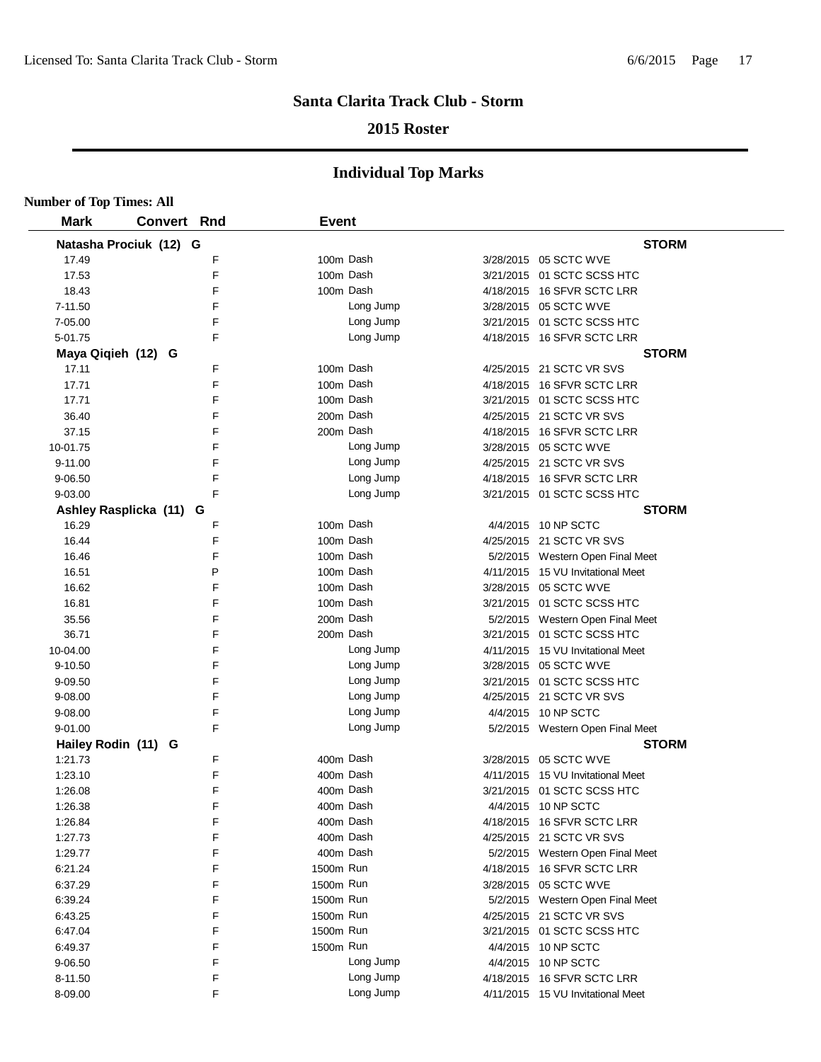## **2015 Roster**

| <b>Number of Top Times: All</b> |                         |        |              |           |                                   |
|---------------------------------|-------------------------|--------|--------------|-----------|-----------------------------------|
| <b>Mark</b>                     | <b>Convert Rnd</b>      |        | <b>Event</b> |           |                                   |
|                                 | Natasha Prociuk (12) G  |        |              |           | <b>STORM</b>                      |
| 17.49                           |                         | F      | 100m Dash    |           | 3/28/2015 05 SCTC WVE             |
| 17.53                           |                         | F      | 100m Dash    |           | 3/21/2015 01 SCTC SCSS HTC        |
| 18.43                           |                         | F      | 100m Dash    |           | 4/18/2015 16 SFVR SCTC LRR        |
| 7-11.50                         |                         | F      |              | Long Jump | 3/28/2015 05 SCTC WVE             |
| 7-05.00                         |                         | F      |              | Long Jump | 3/21/2015 01 SCTC SCSS HTC        |
| 5-01.75                         |                         | F      |              | Long Jump | 4/18/2015 16 SFVR SCTC LRR        |
| Maya Qiqieh (12) G              |                         |        |              |           | <b>STORM</b>                      |
| 17.11                           |                         | F      | 100m Dash    |           | 4/25/2015 21 SCTC VR SVS          |
| 17.71                           |                         | F      | 100m Dash    |           | 4/18/2015 16 SFVR SCTC LRR        |
| 17.71                           |                         | F      | 100m Dash    |           | 3/21/2015 01 SCTC SCSS HTC        |
| 36.40                           |                         | F      | 200m Dash    |           | 4/25/2015 21 SCTC VR SVS          |
| 37.15                           |                         | F      | 200m Dash    |           | 4/18/2015 16 SFVR SCTC LRR        |
| 10-01.75                        |                         | F      |              | Long Jump | 3/28/2015 05 SCTC WVE             |
| 9-11.00                         |                         | F      |              | Long Jump | 4/25/2015 21 SCTC VR SVS          |
| 9-06.50                         |                         | F      |              | Long Jump | 4/18/2015 16 SFVR SCTC LRR        |
| 9-03.00                         |                         | F      |              | Long Jump | 3/21/2015 01 SCTC SCSS HTC        |
|                                 | Ashley Rasplicka (11) G |        |              |           | <b>STORM</b>                      |
| 16.29                           |                         | F      | 100m Dash    |           | 4/4/2015 10 NP SCTC               |
| 16.44                           |                         | F      | 100m Dash    |           | 4/25/2015 21 SCTC VR SVS          |
| 16.46                           |                         | F      | 100m Dash    |           | 5/2/2015 Western Open Final Meet  |
| 16.51                           |                         | P      | 100m Dash    |           | 4/11/2015 15 VU Invitational Meet |
| 16.62                           |                         | F      | 100m Dash    |           | 3/28/2015 05 SCTC WVE             |
| 16.81                           |                         | F      | 100m Dash    |           | 3/21/2015 01 SCTC SCSS HTC        |
| 35.56                           |                         | F      | 200m Dash    |           | 5/2/2015 Western Open Final Meet  |
| 36.71                           |                         | F      | 200m Dash    |           | 3/21/2015 01 SCTC SCSS HTC        |
| 10-04.00                        |                         | F      |              | Long Jump | 4/11/2015 15 VU Invitational Meet |
| 9-10.50                         |                         | F      |              | Long Jump | 3/28/2015 05 SCTC WVE             |
| 9-09.50                         |                         | F      |              | Long Jump | 3/21/2015 01 SCTC SCSS HTC        |
| 9-08.00                         |                         | F      |              | Long Jump | 4/25/2015 21 SCTC VR SVS          |
| 9-08.00                         |                         | F      |              | Long Jump | 4/4/2015 10 NP SCTC               |
| 9-01.00                         |                         | F      |              | Long Jump | 5/2/2015 Western Open Final Meet  |
| Hailey Rodin (11) G             |                         |        |              |           | <b>STORM</b>                      |
| 1:21.73                         |                         | F      | 400m Dash    |           | 3/28/2015 05 SCTC WVE             |
| 1:23.10                         |                         | F      | 400m Dash    |           | 4/11/2015 15 VU Invitational Meet |
| 1:26.08                         |                         | F      | 400m Dash    |           | 3/21/2015 01 SCTC SCSS HTC        |
| 1:26.38                         |                         | F      | 400m Dash    |           | 4/4/2015 10 NP SCTC               |
| 1:26.84                         |                         | F      | 400m Dash    |           | 4/18/2015 16 SFVR SCTC LRR        |
| 1:27.73                         |                         | F      | 400m Dash    |           | 4/25/2015 21 SCTC VR SVS          |
| 1:29.77                         |                         | F      | 400m Dash    |           | 5/2/2015 Western Open Final Meet  |
| 6:21.24                         |                         | F      | 1500m Run    |           | 4/18/2015 16 SFVR SCTC LRR        |
| 6:37.29                         |                         | F      | 1500m Run    |           | 3/28/2015 05 SCTC WVE             |
| 6:39.24                         |                         | F      | 1500m Run    |           | 5/2/2015 Western Open Final Meet  |
| 6:43.25                         |                         | F      | 1500m Run    |           | 4/25/2015 21 SCTC VR SVS          |
| 6:47.04                         |                         | F      | 1500m Run    |           | 3/21/2015 01 SCTC SCSS HTC        |
| 6:49.37                         |                         | F      | 1500m Run    |           | 4/4/2015 10 NP SCTC               |
| 9-06.50                         |                         | F      |              | Long Jump | 4/4/2015 10 NP SCTC               |
| 8-11.50                         |                         | F<br>F |              | Long Jump | 4/18/2015 16 SFVR SCTC LRR        |
| 8-09.00                         |                         |        |              | Long Jump | 4/11/2015 15 VU Invitational Meet |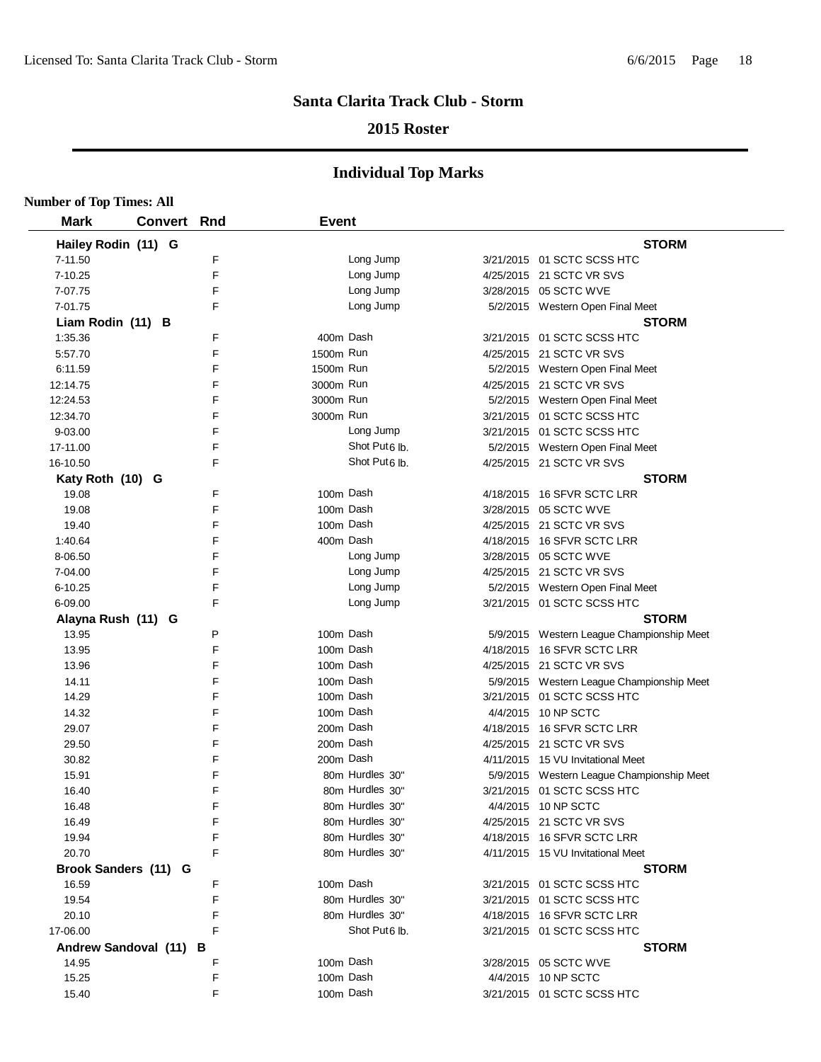## **2015 Roster**

| <b>Number of Top Times: All</b> |             |   |              |                           |                                           |
|---------------------------------|-------------|---|--------------|---------------------------|-------------------------------------------|
| <b>Mark</b>                     | Convert Rnd |   | <b>Event</b> |                           |                                           |
| Hailey Rodin (11) G             |             |   |              |                           | <b>STORM</b>                              |
| 7-11.50                         |             | F |              | Long Jump                 | 3/21/2015 01 SCTC SCSS HTC                |
| 7-10.25                         |             | E |              | Long Jump                 | 4/25/2015 21 SCTC VR SVS                  |
| 7-07.75                         |             | F |              | Long Jump                 | 3/28/2015 05 SCTC WVE                     |
| 7-01.75                         |             | F |              | Long Jump                 | 5/2/2015 Western Open Final Meet          |
| Liam Rodin (11) B               |             |   |              |                           | <b>STORM</b>                              |
| 1:35.36                         |             | F | 400m Dash    |                           | 3/21/2015 01 SCTC SCSS HTC                |
| 5:57.70                         |             | F | 1500m Run    |                           | 4/25/2015 21 SCTC VR SVS                  |
| 6:11.59                         |             | E | 1500m Run    |                           | 5/2/2015 Western Open Final Meet          |
| 12:14.75                        |             | F | 3000m Run    |                           | 4/25/2015 21 SCTC VR SVS                  |
| 12:24.53                        |             | F | 3000m Run    |                           | 5/2/2015 Western Open Final Meet          |
| 12:34.70                        |             | F | 3000m Run    |                           | 3/21/2015 01 SCTC SCSS HTC                |
| 9-03.00                         |             | F |              | Long Jump                 | 3/21/2015 01 SCTC SCSS HTC                |
| 17-11.00                        |             | F |              | Shot Put <sub>6</sub> lb. | 5/2/2015 Western Open Final Meet          |
| 16-10.50                        |             | F |              | Shot Put <sub>6</sub> lb. | 4/25/2015 21 SCTC VR SVS                  |
| Katy Roth (10) G                |             |   |              |                           | <b>STORM</b>                              |
| 19.08                           |             | F | 100m Dash    |                           | 4/18/2015 16 SFVR SCTC LRR                |
| 19.08                           |             | F | 100m Dash    |                           | 3/28/2015 05 SCTC WVE                     |
| 19.40                           |             | F | 100m Dash    |                           | 4/25/2015 21 SCTC VR SVS                  |
| 1:40.64                         |             | F |              | 400m Dash                 | 4/18/2015 16 SFVR SCTC LRR                |
| 8-06.50                         |             | F |              | Long Jump                 | 3/28/2015 05 SCTC WVE                     |
| 7-04.00                         |             | F |              | Long Jump                 | 4/25/2015 21 SCTC VR SVS                  |
| 6-10.25                         |             | F |              | Long Jump                 | 5/2/2015 Western Open Final Meet          |
| 6-09.00                         |             | E |              | Long Jump                 | 3/21/2015 01 SCTC SCSS HTC                |
| Alayna Rush (11) G              |             |   |              |                           | <b>STORM</b>                              |
| 13.95                           |             | P | 100m Dash    |                           | 5/9/2015 Western League Championship Meet |
| 13.95                           |             | F | 100m Dash    |                           | 4/18/2015 16 SFVR SCTC LRR                |
| 13.96                           |             | E | 100m Dash    |                           | 4/25/2015 21 SCTC VR SVS                  |
| 14.11                           |             | F |              | 100m Dash                 | 5/9/2015 Western League Championship Meet |
| 14.29                           |             | E |              | 100m Dash                 | 3/21/2015 01 SCTC SCSS HTC                |
| 14.32                           |             | F | 100m Dash    |                           | 4/4/2015 10 NP SCTC                       |
| 29.07                           |             | F | 200m Dash    |                           | 4/18/2015 16 SFVR SCTC LRR                |
| 29.50                           |             | F | 200m Dash    |                           | 4/25/2015 21 SCTC VR SVS                  |
| 30.82                           |             | F |              | 200m Dash                 | 4/11/2015 15 VU Invitational Meet         |
| 15.91                           |             | F |              | 80m Hurdles 30"           | 5/9/2015 Western League Championship Meet |
| 16.40                           |             | F |              | 80m Hurdles 30"           | 3/21/2015  01 SCTC SCSS HTC               |
| 16.48                           |             | F |              | 80m Hurdles 30"           | 4/4/2015 10 NP SCTC                       |
| 16.49                           |             | F |              | 80m Hurdles 30"           | 4/25/2015 21 SCTC VR SVS                  |
| 19.94                           |             | F |              | 80m Hurdles 30"           | 4/18/2015 16 SFVR SCTC LRR                |
| 20.70                           |             | F |              | 80m Hurdles 30"           | 4/11/2015 15 VU Invitational Meet         |
| Brook Sanders (11) G            |             |   |              |                           | <b>STORM</b>                              |
| 16.59                           |             | F |              | 100m Dash                 | 3/21/2015 01 SCTC SCSS HTC                |
| 19.54                           |             | F |              | 80m Hurdles 30"           | 3/21/2015 01 SCTC SCSS HTC                |
| 20.10                           |             | F |              | 80m Hurdles 30"           | 4/18/2015 16 SFVR SCTC LRR                |
| 17-06.00                        |             | E |              | Shot Put <sub>6</sub> lb. | 3/21/2015 01 SCTC SCSS HTC                |
| Andrew Sandoval (11) B          |             |   |              |                           | <b>STORM</b>                              |
| 14.95                           |             | F |              | 100m Dash                 | 3/28/2015 05 SCTC WVE                     |
| 15.25                           |             | F |              | 100m Dash                 | 4/4/2015 10 NP SCTC                       |
| 15.40                           |             | F |              | 100m Dash                 | 3/21/2015 01 SCTC SCSS HTC                |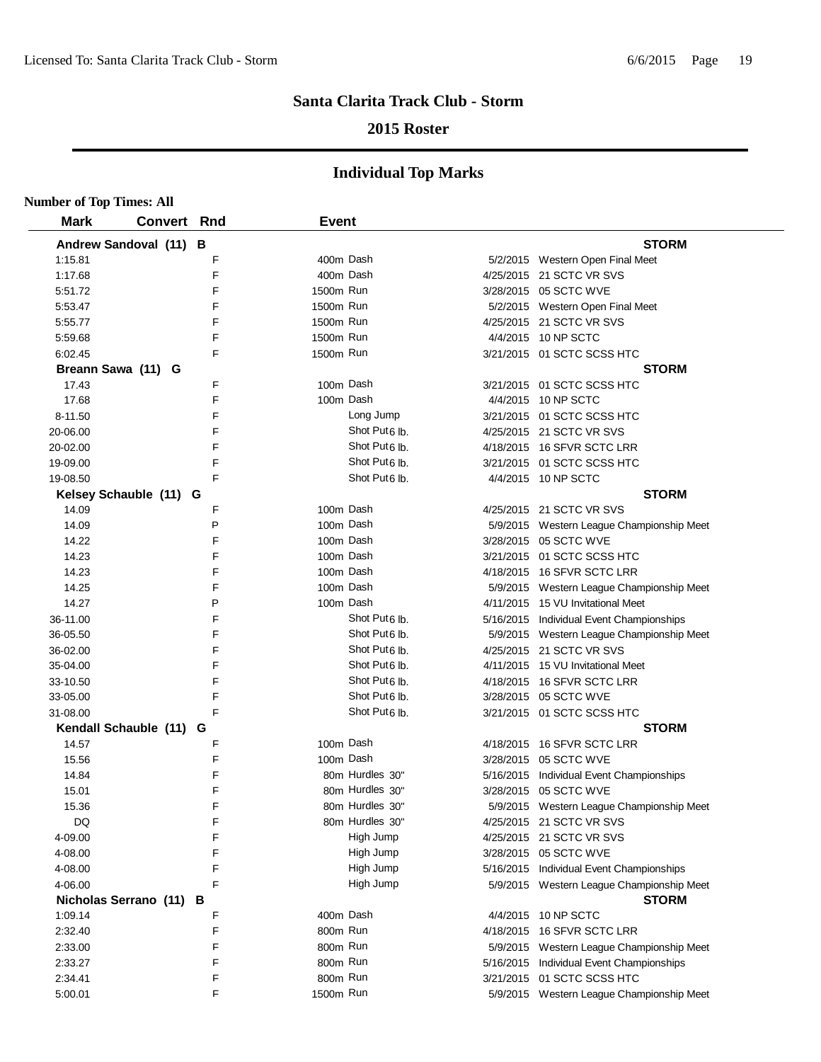## **2015 Roster**

| <b>Number of Top Times: All</b> |                         |   |              |                           |                                           |
|---------------------------------|-------------------------|---|--------------|---------------------------|-------------------------------------------|
| <b>Mark</b>                     | <b>Convert Rnd</b>      |   | <b>Event</b> |                           |                                           |
|                                 | Andrew Sandoval (11) B  |   |              |                           | <b>STORM</b>                              |
| 1:15.81                         |                         | F | 400m Dash    |                           | 5/2/2015 Western Open Final Meet          |
| 1:17.68                         |                         | F | 400m Dash    |                           | 4/25/2015 21 SCTC VR SVS                  |
| 5:51.72                         |                         | F | 1500m Run    |                           | 3/28/2015 05 SCTC WVE                     |
| 5:53.47                         |                         | F | 1500m Run    |                           | 5/2/2015 Western Open Final Meet          |
| 5:55.77                         |                         | F | 1500m Run    |                           | 4/25/2015 21 SCTC VR SVS                  |
| 5:59.68                         |                         | F | 1500m Run    |                           | 4/4/2015 10 NP SCTC                       |
| 6:02.45                         |                         | F | 1500m Run    |                           | 3/21/2015 01 SCTC SCSS HTC                |
|                                 | Breann Sawa (11) G      |   |              |                           | <b>STORM</b>                              |
| 17.43                           |                         | F | 100m Dash    |                           | 3/21/2015 01 SCTC SCSS HTC                |
| 17.68                           |                         | F | 100m Dash    |                           | 4/4/2015 10 NP SCTC                       |
| 8-11.50                         |                         | F |              | Long Jump                 | 3/21/2015 01 SCTC SCSS HTC                |
| 20-06.00                        |                         | F |              | Shot Put <sub>6</sub> lb. | 4/25/2015 21 SCTC VR SVS                  |
| 20-02.00                        |                         | F |              | Shot Put <sub>6</sub> lb. | 4/18/2015 16 SFVR SCTC LRR                |
| 19-09.00                        |                         | F |              | Shot Put <sub>6</sub> lb. | 3/21/2015 01 SCTC SCSS HTC                |
| 19-08.50                        |                         | F |              | Shot Put <sub>6</sub> lb. | 4/4/2015 10 NP SCTC                       |
|                                 | Kelsey Schauble (11) G  |   |              |                           | <b>STORM</b>                              |
| 14.09                           |                         | F | 100m Dash    |                           | 4/25/2015 21 SCTC VR SVS                  |
| 14.09                           |                         | P | 100m Dash    |                           | 5/9/2015 Western League Championship Meet |
| 14.22                           |                         | F | 100m Dash    |                           | 3/28/2015 05 SCTC WVE                     |
| 14.23                           |                         | F | 100m Dash    |                           | 3/21/2015 01 SCTC SCSS HTC                |
| 14.23                           |                         | F | 100m Dash    |                           | 4/18/2015 16 SFVR SCTC LRR                |
| 14.25                           |                         | F | 100m Dash    |                           | 5/9/2015 Western League Championship Meet |
| 14.27                           |                         | P | 100m Dash    |                           | 4/11/2015 15 VU Invitational Meet         |
| 36-11.00                        |                         | F |              | Shot Put <sub>6</sub> lb. | 5/16/2015 Individual Event Championships  |
| 36-05.50                        |                         | F |              | Shot Put <sub>6</sub> lb. | 5/9/2015 Western League Championship Meet |
| 36-02.00                        |                         | F |              | Shot Put <sub>6</sub> lb. | 4/25/2015 21 SCTC VR SVS                  |
| 35-04.00                        |                         | F |              | Shot Put <sub>6</sub> lb. | 4/11/2015 15 VU Invitational Meet         |
| 33-10.50                        |                         | F |              | Shot Put <sub>6</sub> lb. | 4/18/2015 16 SFVR SCTC LRR                |
| 33-05.00                        |                         | F |              | Shot Put <sub>6</sub> lb. | 3/28/2015 05 SCTC WVE                     |
| 31-08.00                        |                         | F |              | Shot Put <sub>6</sub> lb. | 3/21/2015 01 SCTC SCSS HTC                |
|                                 | Kendall Schauble (11) G |   |              |                           | <b>STORM</b>                              |
| 14.57                           |                         | F | 100m Dash    |                           | 4/18/2015 16 SFVR SCTC LRR                |
| 15.56                           |                         | F | 100m Dash    |                           | 3/28/2015 05 SCTC WVE                     |
| 14.84                           |                         | F |              | 80m Hurdles 30"           | 5/16/2015 Individual Event Championships  |
| 15.01                           |                         | F |              | 80m Hurdles 30"           | 3/28/2015 05 SCTC WVE                     |
| 15.36                           |                         | F |              | 80m Hurdles 30"           | 5/9/2015 Western League Championship Meet |
| <b>DQ</b>                       |                         | F |              | 80m Hurdles 30"           | 4/25/2015 21 SCTC VR SVS                  |
| 4-09.00                         |                         | F |              | High Jump                 | 4/25/2015 21 SCTC VR SVS                  |
| 4-08.00                         |                         | F |              | High Jump                 | 3/28/2015 05 SCTC WVE                     |
| 4-08.00                         |                         | F |              | High Jump                 | 5/16/2015 Individual Event Championships  |
| 4-06.00                         |                         | F |              | High Jump                 | 5/9/2015 Western League Championship Meet |
|                                 | Nicholas Serrano (11) B |   |              |                           | <b>STORM</b>                              |
| 1:09.14                         |                         | F | 400m Dash    |                           | 4/4/2015 10 NP SCTC                       |
| 2:32.40                         |                         | F | 800m Run     |                           | 4/18/2015 16 SFVR SCTC LRR                |
| 2:33.00                         |                         | F | 800m Run     |                           | 5/9/2015 Western League Championship Meet |
| 2:33.27                         |                         | F | 800m Run     |                           | 5/16/2015 Individual Event Championships  |
| 2:34.41                         |                         | F | 800m Run     |                           | 3/21/2015 01 SCTC SCSS HTC                |
| 5:00.01                         |                         | F | 1500m Run    |                           | 5/9/2015 Western League Championship Meet |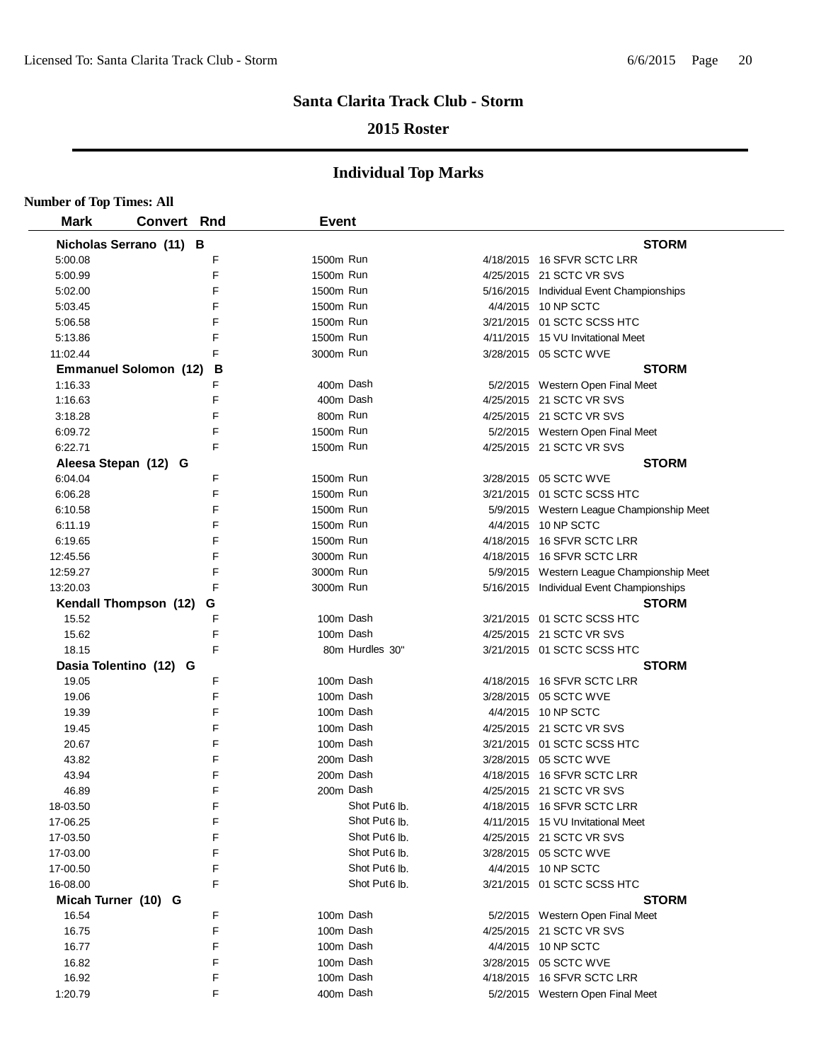## **2015 Roster**

| <b>Number of Top Times: All</b> |                              |   |              |                           |                                           |
|---------------------------------|------------------------------|---|--------------|---------------------------|-------------------------------------------|
| <b>Mark</b>                     | <b>Convert Rnd</b>           |   | <b>Event</b> |                           |                                           |
|                                 | Nicholas Serrano (11) B      |   |              |                           | <b>STORM</b>                              |
| 5:00.08                         |                              | F | 1500m Run    |                           | 4/18/2015 16 SFVR SCTC LRR                |
| 5:00.99                         |                              | F | 1500m Run    |                           | 4/25/2015 21 SCTC VR SVS                  |
| 5:02.00                         |                              | F | 1500m Run    |                           | 5/16/2015 Individual Event Championships  |
| 5:03.45                         |                              | F | 1500m Run    |                           | 4/4/2015 10 NP SCTC                       |
| 5:06.58                         |                              | F | 1500m Run    |                           | 3/21/2015 01 SCTC SCSS HTC                |
| 5:13.86                         |                              | F | 1500m Run    |                           | 4/11/2015 15 VU Invitational Meet         |
| 11:02.44                        |                              | F | 3000m Run    |                           | 3/28/2015 05 SCTC WVE                     |
|                                 | <b>Emmanuel Solomon (12)</b> | В |              |                           | <b>STORM</b>                              |
| 1:16.33                         |                              | F | 400m Dash    |                           | 5/2/2015 Western Open Final Meet          |
| 1:16.63                         |                              | F | 400m Dash    |                           | 4/25/2015 21 SCTC VR SVS                  |
| 3:18.28                         |                              | F | 800m Run     |                           | 4/25/2015 21 SCTC VR SVS                  |
| 6:09.72                         |                              | F | 1500m Run    |                           | 5/2/2015 Western Open Final Meet          |
| 6:22.71                         |                              | F | 1500m Run    |                           | 4/25/2015 21 SCTC VR SVS                  |
|                                 | Aleesa Stepan (12) G         |   |              |                           | <b>STORM</b>                              |
| 6:04.04                         |                              | F | 1500m Run    |                           | 3/28/2015 05 SCTC WVE                     |
| 6:06.28                         |                              | F | 1500m Run    |                           | 3/21/2015 01 SCTC SCSS HTC                |
| 6:10.58                         |                              | F | 1500m Run    |                           | 5/9/2015 Western League Championship Meet |
| 6:11.19                         |                              | F | 1500m Run    |                           | 4/4/2015 10 NP SCTC                       |
| 6:19.65                         |                              | F | 1500m Run    |                           | 4/18/2015 16 SFVR SCTC LRR                |
| 12:45.56                        |                              | F | 3000m Run    |                           | 4/18/2015 16 SFVR SCTC LRR                |
| 12:59.27                        |                              | F | 3000m Run    |                           | 5/9/2015 Western League Championship Meet |
| 13:20.03                        |                              | F | 3000m Run    |                           | 5/16/2015 Individual Event Championships  |
|                                 | Kendall Thompson (12)        | G |              |                           | <b>STORM</b>                              |
| 15.52                           |                              | F | 100m Dash    |                           | 3/21/2015 01 SCTC SCSS HTC                |
| 15.62                           |                              | F | 100m Dash    |                           | 4/25/2015 21 SCTC VR SVS                  |
| 18.15                           |                              | F |              | 80m Hurdles 30"           | 3/21/2015 01 SCTC SCSS HTC                |
|                                 | Dasia Tolentino (12) G       |   |              |                           | <b>STORM</b>                              |
| 19.05                           |                              | F | 100m Dash    |                           | 4/18/2015 16 SFVR SCTC LRR                |
| 19.06                           |                              | F | 100m Dash    |                           | 3/28/2015 05 SCTC WVE                     |
| 19.39                           |                              | F | 100m Dash    |                           | 4/4/2015 10 NP SCTC                       |
| 19.45                           |                              | F | 100m Dash    |                           | 4/25/2015 21 SCTC VR SVS                  |
| 20.67                           |                              | F | 100m Dash    |                           | 3/21/2015 01 SCTC SCSS HTC                |
| 43.82                           |                              | F | 200m Dash    |                           | 3/28/2015 05 SCTC WVE                     |
| 43.94                           |                              | F | 200m Dash    |                           | 4/18/2015 16 SFVR SCTC LRR                |
| 46.89                           |                              | F | 200m Dash    |                           | 4/25/2015 21 SCTC VR SVS                  |
| 18-03.50                        |                              | F |              | Shot Put <sub>6</sub> lb. | 4/18/2015 16 SFVR SCTC LRR                |
| 17-06.25                        |                              | F |              | Shot Put <sub>6</sub> lb. | 4/11/2015 15 VU Invitational Meet         |
| 17-03.50                        |                              | F |              | Shot Put <sub>6</sub> lb. | 4/25/2015 21 SCTC VR SVS                  |
| 17-03.00                        |                              | F |              | Shot Put <sub>6</sub> lb. | 3/28/2015 05 SCTC WVE                     |
| 17-00.50                        |                              | F |              | Shot Put <sub>6</sub> lb. | 4/4/2015 10 NP SCTC                       |
| 16-08.00                        |                              | F |              | Shot Put <sub>6</sub> lb. | 3/21/2015 01 SCTC SCSS HTC                |
| Micah Turner (10) G             |                              |   |              |                           | <b>STORM</b>                              |
| 16.54                           |                              | F | 100m Dash    |                           | 5/2/2015 Western Open Final Meet          |
| 16.75                           |                              | F | 100m Dash    |                           | 4/25/2015 21 SCTC VR SVS                  |
| 16.77                           |                              | F | 100m Dash    |                           | 4/4/2015 10 NP SCTC                       |
| 16.82                           |                              | F | 100m Dash    |                           | 3/28/2015 05 SCTC WVE                     |
| 16.92                           |                              | F | 100m Dash    |                           | 4/18/2015 16 SFVR SCTC LRR                |
| 1:20.79                         |                              | F | 400m Dash    |                           | 5/2/2015 Western Open Final Meet          |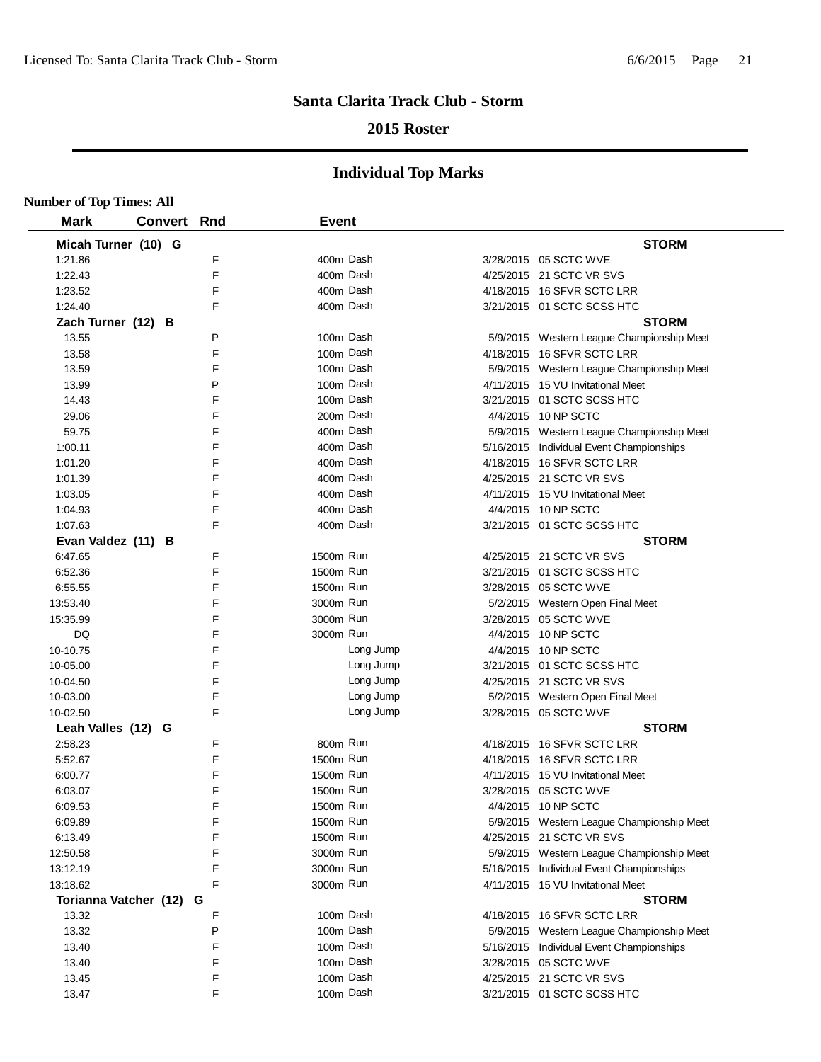## **2015 Roster**

| <b>Number of Top Times: All</b> |                    |   |              |           |                                           |
|---------------------------------|--------------------|---|--------------|-----------|-------------------------------------------|
| <b>Mark</b>                     | <b>Convert Rnd</b> |   | <b>Event</b> |           |                                           |
| Micah Turner (10) G             |                    |   |              |           | <b>STORM</b>                              |
| 1:21.86                         |                    | F | 400m Dash    |           | 3/28/2015 05 SCTC WVE                     |
| 1:22.43                         |                    | F | 400m Dash    |           | 4/25/2015 21 SCTC VR SVS                  |
| 1:23.52                         |                    | F | 400m Dash    |           | 4/18/2015 16 SFVR SCTC LRR                |
| 1:24.40                         |                    | F | 400m Dash    |           | 3/21/2015 01 SCTC SCSS HTC                |
| Zach Turner (12) B              |                    |   |              |           | <b>STORM</b>                              |
| 13.55                           |                    | P | 100m Dash    |           | 5/9/2015 Western League Championship Meet |
| 13.58                           |                    | F | 100m Dash    |           | 4/18/2015 16 SFVR SCTC LRR                |
| 13.59                           |                    | F | 100m Dash    |           | 5/9/2015 Western League Championship Meet |
| 13.99                           |                    | P | 100m Dash    |           | 4/11/2015 15 VU Invitational Meet         |
| 14.43                           |                    | F | 100m Dash    |           | 3/21/2015 01 SCTC SCSS HTC                |
| 29.06                           |                    | F | 200m Dash    |           | 4/4/2015 10 NP SCTC                       |
| 59.75                           |                    | F | 400m Dash    |           | 5/9/2015 Western League Championship Meet |
| 1:00.11                         |                    | F | 400m Dash    |           | 5/16/2015 Individual Event Championships  |
| 1:01.20                         |                    | F | 400m Dash    |           | 4/18/2015 16 SFVR SCTC LRR                |
| 1:01.39                         |                    | F | 400m Dash    |           | 4/25/2015 21 SCTC VR SVS                  |
| 1:03.05                         |                    | F | 400m Dash    |           | 4/11/2015 15 VU Invitational Meet         |
| 1:04.93                         |                    | F | 400m Dash    |           | 4/4/2015 10 NP SCTC                       |
| 1:07.63                         |                    | F | 400m Dash    |           | 3/21/2015 01 SCTC SCSS HTC                |
| Evan Valdez (11) B              |                    |   |              |           | <b>STORM</b>                              |
| 6:47.65                         |                    | F | 1500m Run    |           | 4/25/2015 21 SCTC VR SVS                  |
| 6:52.36                         |                    | F | 1500m Run    |           | 3/21/2015 01 SCTC SCSS HTC                |
| 6:55.55                         |                    | F | 1500m Run    |           | 3/28/2015 05 SCTC WVE                     |
| 13:53.40                        |                    | F | 3000m Run    |           | 5/2/2015 Western Open Final Meet          |
| 15:35.99                        |                    | F | 3000m Run    |           | 3/28/2015 05 SCTC WVE                     |
| DQ                              |                    | F | 3000m Run    |           | 4/4/2015 10 NP SCTC                       |
| 10-10.75                        |                    | F |              | Long Jump | 4/4/2015 10 NP SCTC                       |
| 10-05.00                        |                    | F |              | Long Jump | 3/21/2015 01 SCTC SCSS HTC                |
| 10-04.50                        |                    | F |              | Long Jump | 4/25/2015 21 SCTC VR SVS                  |
| 10-03.00                        |                    | F |              | Long Jump | 5/2/2015 Western Open Final Meet          |
| 10-02.50                        |                    | F |              | Long Jump | 3/28/2015 05 SCTC WVE                     |
| Leah Valles (12) G              |                    |   |              |           | <b>STORM</b>                              |
| 2:58.23                         |                    | F | 800m Run     |           | 4/18/2015 16 SFVR SCTC LRR                |
| 5:52.67                         |                    | F | 1500m Run    |           | 4/18/2015 16 SFVR SCTC LRR                |
| 6:00.77                         |                    | F | 1500m Run    |           | 4/11/2015 15 VU Invitational Meet         |
| 6:03.07                         |                    | F | 1500m Run    |           | 3/28/2015  05 SCTC WVE                    |
| 6:09.53                         |                    | F | 1500m Run    |           | 4/4/2015 10 NP SCTC                       |
| 6:09.89                         |                    | F | 1500m Run    |           | 5/9/2015 Western League Championship Meet |
| 6:13.49                         |                    | F | 1500m Run    |           | 4/25/2015 21 SCTC VR SVS                  |
| 12:50.58                        |                    | F | 3000m Run    |           | 5/9/2015 Western League Championship Meet |
| 13:12.19                        |                    | F | 3000m Run    |           | 5/16/2015 Individual Event Championships  |
| 13:18.62                        |                    | F | 3000m Run    |           | 4/11/2015 15 VU Invitational Meet         |
| Torianna Vatcher (12)           |                    | G |              |           | <b>STORM</b>                              |
| 13.32                           |                    | F | 100m Dash    |           | 4/18/2015 16 SFVR SCTC LRR                |
| 13.32                           |                    | P | 100m Dash    |           | 5/9/2015 Western League Championship Meet |
| 13.40                           |                    | F | 100m Dash    |           | 5/16/2015 Individual Event Championships  |
| 13.40                           |                    | F | 100m Dash    |           | 3/28/2015 05 SCTC WVE                     |
| 13.45                           |                    | F | 100m Dash    |           | 4/25/2015 21 SCTC VR SVS                  |
| 13.47                           |                    | F | 100m Dash    |           | 3/21/2015 01 SCTC SCSS HTC                |